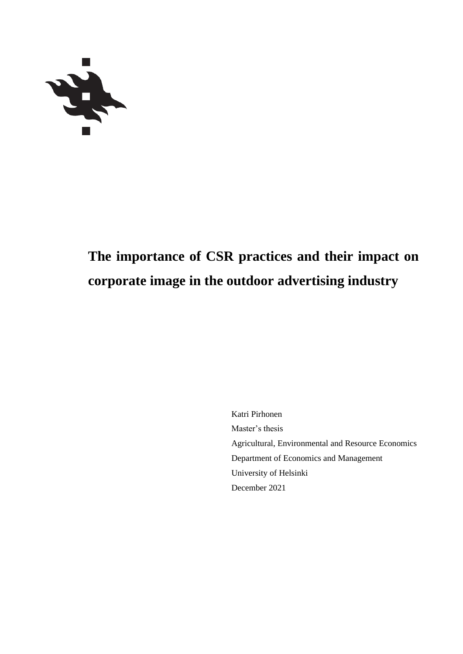

# **The importance of CSR practices and their impact on corporate image in the outdoor advertising industry**

Katri Pirhonen Master's thesis Agricultural, Environmental and Resource Economics Department of Economics and Management University of Helsinki December 2021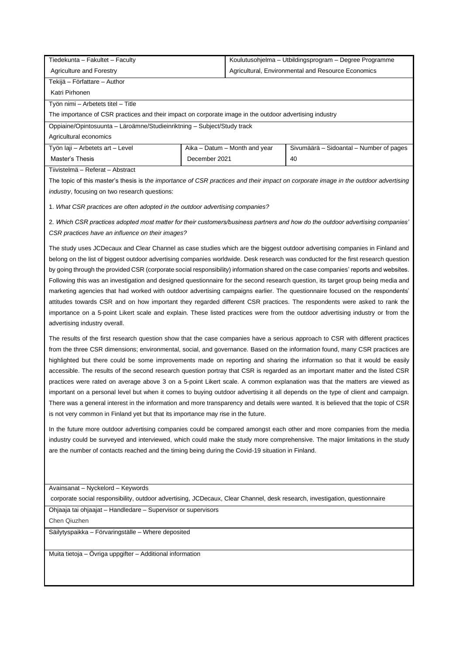| Tiedekunta – Fakultet – Faculty                                                                         |               | Koulutusohjelma – Utbildingsprogram – Degree Programme |                                         |  |  |  |
|---------------------------------------------------------------------------------------------------------|---------------|--------------------------------------------------------|-----------------------------------------|--|--|--|
| Agricultural, Environmental and Resource Economics<br>Agriculture and Forestry                          |               |                                                        |                                         |  |  |  |
| Tekijä – Författare – Author                                                                            |               |                                                        |                                         |  |  |  |
| Katri Pirhonen                                                                                          |               |                                                        |                                         |  |  |  |
| Työn nimi – Arbetets titel – Title                                                                      |               |                                                        |                                         |  |  |  |
| The importance of CSR practices and their impact on corporate image in the outdoor advertising industry |               |                                                        |                                         |  |  |  |
| Oppiaine/Opintosuunta – Läroämne/Studieinriktning – Subject/Study track                                 |               |                                                        |                                         |  |  |  |
| Agricultural economics                                                                                  |               |                                                        |                                         |  |  |  |
| Työn laji – Arbetets art – Level                                                                        |               | Aika - Datum - Month and year                          | Sivumäärä - Sidoantal - Number of pages |  |  |  |
| Master's Thesis                                                                                         | December 2021 |                                                        | 40                                      |  |  |  |

Tiivistelmä – Referat – Abstract

The topic of this master's thesis is t*he importance of CSR practices and their impact on corporate image in the outdoor advertising industry*, focusing on two research questions:

1. *What CSR practices are often adopted in the outdoor advertising companies?*

2. *Which CSR practices adopted most matter for their customers/business partners and how do the outdoor advertising companies' CSR practices have an influence on their images?*

The study uses JCDecaux and Clear Channel as case studies which are the biggest outdoor advertising companies in Finland and belong on the list of biggest outdoor advertising companies worldwide. Desk research was conducted for the first research question by going through the provided CSR (corporate social responsibility) information shared on the case companies' reports and websites. Following this was an investigation and designed questionnaire for the second research question, its target group being media and marketing agencies that had worked with outdoor advertising campaigns earlier. The questionnaire focused on the respondents' attitudes towards CSR and on how important they regarded different CSR practices. The respondents were asked to rank the importance on a 5-point Likert scale and explain. These listed practices were from the outdoor advertising industry or from the advertising industry overall.

The results of the first research question show that the case companies have a serious approach to CSR with different practices from the three CSR dimensions; environmental, social, and governance. Based on the information found, many CSR practices are highlighted but there could be some improvements made on reporting and sharing the information so that it would be easily accessible. The results of the second research question portray that CSR is regarded as an important matter and the listed CSR practices were rated on average above 3 on a 5-point Likert scale. A common explanation was that the matters are viewed as important on a personal level but when it comes to buying outdoor advertising it all depends on the type of client and campaign. There was a general interest in the information and more transparency and details were wanted. It is believed that the topic of CSR is not very common in Finland yet but that its importance may rise in the future.

In the future more outdoor advertising companies could be compared amongst each other and more companies from the media industry could be surveyed and interviewed, which could make the study more comprehensive. The major limitations in the study are the number of contacts reached and the timing being during the Covid-19 situation in Finland.

Avainsanat – Nyckelord – Keywords

corporate social responsibility, outdoor advertising, JCDecaux, Clear Channel, desk research, investigation, questionnaire

Ohjaaja tai ohjaajat – Handledare – Supervisor or supervisors

Chen Qiuzhen

Säilytyspaikka – Förvaringställe – Where deposited

Muita tietoja – Övriga uppgifter – Additional information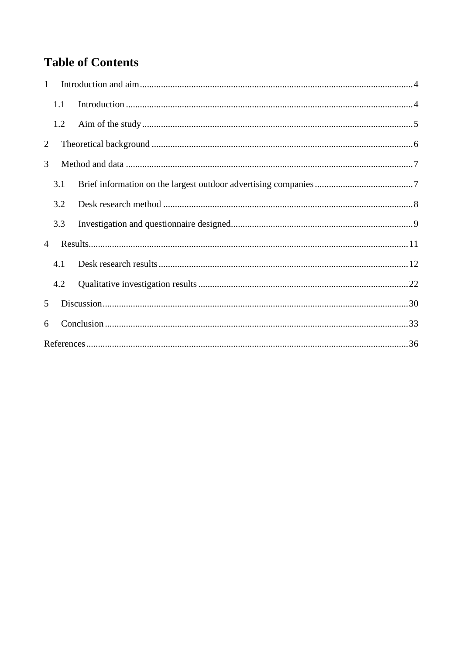## **Table of Contents**

| $\mathbf{1}$   |     |  |
|----------------|-----|--|
|                | 1.1 |  |
|                | 1.2 |  |
| $\overline{2}$ |     |  |
| 3              |     |  |
|                | 3.1 |  |
|                | 3.2 |  |
|                | 3.3 |  |
| $\overline{4}$ |     |  |
|                | 4.1 |  |
|                | 4.2 |  |
| 5              |     |  |
| 6              |     |  |
|                |     |  |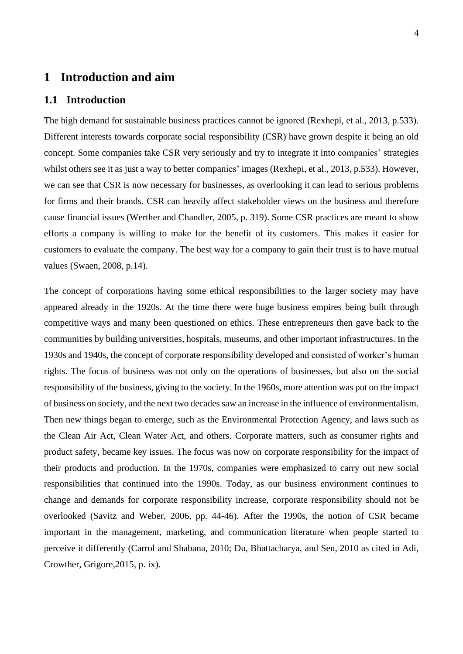## <span id="page-3-0"></span>**1 Introduction and aim**

## <span id="page-3-1"></span>**1.1 Introduction**

The high demand for sustainable business practices cannot be ignored (Rexhepi, et al., 2013, p.533). Different interests towards corporate social responsibility (CSR) have grown despite it being an old concept. Some companies take CSR very seriously and try to integrate it into companies' strategies whilst others see it as just a way to better companies' images (Rexhepi, et al., 2013, p.533). However, we can see that CSR is now necessary for businesses, as overlooking it can lead to serious problems for firms and their brands. CSR can heavily affect stakeholder views on the business and therefore cause financial issues (Werther and Chandler, 2005, p. 319). Some CSR practices are meant to show efforts a company is willing to make for the benefit of its customers. This makes it easier for customers to evaluate the company. The best way for a company to gain their trust is to have mutual values (Swaen, 2008, p.14).

The concept of corporations having some ethical responsibilities to the larger society may have appeared already in the 1920s. At the time there were huge business empires being built through competitive ways and many been questioned on ethics. These entrepreneurs then gave back to the communities by building universities, hospitals, museums, and other important infrastructures. In the 1930s and 1940s, the concept of corporate responsibility developed and consisted of worker's human rights. The focus of business was not only on the operations of businesses, but also on the social responsibility of the business, giving to the society. In the 1960s, more attention was put on the impact of business on society, and the next two decades saw an increase in the influence of environmentalism. Then new things began to emerge, such as the Environmental Protection Agency, and laws such as the Clean Air Act, Clean Water Act, and others. Corporate matters, such as consumer rights and product safety, became key issues. The focus was now on corporate responsibility for the impact of their products and production. In the 1970s, companies were emphasized to carry out new social responsibilities that continued into the 1990s. Today, as our business environment continues to change and demands for corporate responsibility increase, corporate responsibility should not be overlooked (Savitz and Weber, 2006, pp. 44-46). After the 1990s, the notion of CSR became important in the management, marketing, and communication literature when people started to perceive it differently (Carrol and Shabana, 2010; Du, Bhattacharya, and Sen, 2010 as cited in Adi, Crowther, Grigore,2015, p. ix).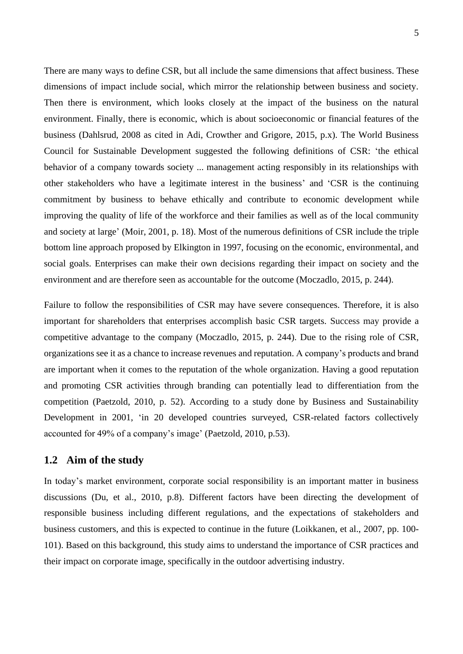There are many ways to define CSR, but all include the same dimensions that affect business. These dimensions of impact include social, which mirror the relationship between business and society. Then there is environment, which looks closely at the impact of the business on the natural environment. Finally, there is economic, which is about socioeconomic or financial features of the business (Dahlsrud, 2008 as cited in Adi, Crowther and Grigore, 2015, p.x). The World Business Council for Sustainable Development suggested the following definitions of CSR: 'the ethical behavior of a company towards society ... management acting responsibly in its relationships with other stakeholders who have a legitimate interest in the business' and 'CSR is the continuing commitment by business to behave ethically and contribute to economic development while improving the quality of life of the workforce and their families as well as of the local community and society at large' (Moir, 2001, p. 18). Most of the numerous definitions of CSR include the triple bottom line approach proposed by Elkington in 1997, focusing on the economic, environmental, and social goals. Enterprises can make their own decisions regarding their impact on society and the environment and are therefore seen as accountable for the outcome (Moczadlo, 2015, p. 244).

Failure to follow the responsibilities of CSR may have severe consequences. Therefore, it is also important for shareholders that enterprises accomplish basic CSR targets. Success may provide a competitive advantage to the company (Moczadlo, 2015, p. 244). Due to the rising role of CSR, organizations see it as a chance to increase revenues and reputation. A company's products and brand are important when it comes to the reputation of the whole organization. Having a good reputation and promoting CSR activities through branding can potentially lead to differentiation from the competition (Paetzold, 2010, p. 52). According to a study done by Business and Sustainability Development in 2001, 'in 20 developed countries surveyed, CSR-related factors collectively accounted for 49% of a company's image' (Paetzold, 2010, p.53).

## <span id="page-4-0"></span>**1.2 Aim of the study**

In today's market environment, corporate social responsibility is an important matter in business discussions (Du, et al., 2010, p.8). Different factors have been directing the development of responsible business including different regulations, and the expectations of stakeholders and business customers, and this is expected to continue in the future (Loikkanen, et al., 2007, pp. 100- 101). Based on this background, this study aims to understand the importance of CSR practices and their impact on corporate image, specifically in the outdoor advertising industry.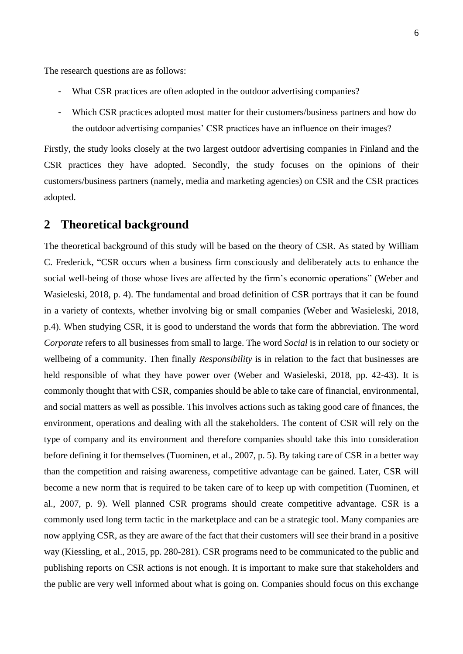The research questions are as follows:

- What CSR practices are often adopted in the outdoor advertising companies?
- Which CSR practices adopted most matter for their customers/business partners and how do the outdoor advertising companies' CSR practices have an influence on their images?

Firstly, the study looks closely at the two largest outdoor advertising companies in Finland and the CSR practices they have adopted. Secondly, the study focuses on the opinions of their customers/business partners (namely, media and marketing agencies) on CSR and the CSR practices adopted.

## <span id="page-5-0"></span>**2 Theoretical background**

The theoretical background of this study will be based on the theory of CSR. As stated by William C. Frederick, "CSR occurs when a business firm consciously and deliberately acts to enhance the social well-being of those whose lives are affected by the firm's economic operations" (Weber and Wasieleski, 2018, p. 4). The fundamental and broad definition of CSR portrays that it can be found in a variety of contexts, whether involving big or small companies (Weber and Wasieleski, 2018, p.4). When studying CSR, it is good to understand the words that form the abbreviation. The word *Corporate* refers to all businesses from small to large. The word *Social* is in relation to our society or wellbeing of a community. Then finally *Responsibility* is in relation to the fact that businesses are held responsible of what they have power over (Weber and Wasieleski, 2018, pp. 42-43). It is commonly thought that with CSR, companies should be able to take care of financial, environmental, and social matters as well as possible. This involves actions such as taking good care of finances, the environment, operations and dealing with all the stakeholders. The content of CSR will rely on the type of company and its environment and therefore companies should take this into consideration before defining it for themselves (Tuominen, et al., 2007, p. 5). By taking care of CSR in a better way than the competition and raising awareness, competitive advantage can be gained. Later, CSR will become a new norm that is required to be taken care of to keep up with competition (Tuominen, et al., 2007, p. 9). Well planned CSR programs should create competitive advantage. CSR is a commonly used long term tactic in the marketplace and can be a strategic tool. Many companies are now applying CSR, as they are aware of the fact that their customers will see their brand in a positive way (Kiessling, et al., 2015, pp. 280-281). CSR programs need to be communicated to the public and publishing reports on CSR actions is not enough. It is important to make sure that stakeholders and the public are very well informed about what is going on. Companies should focus on this exchange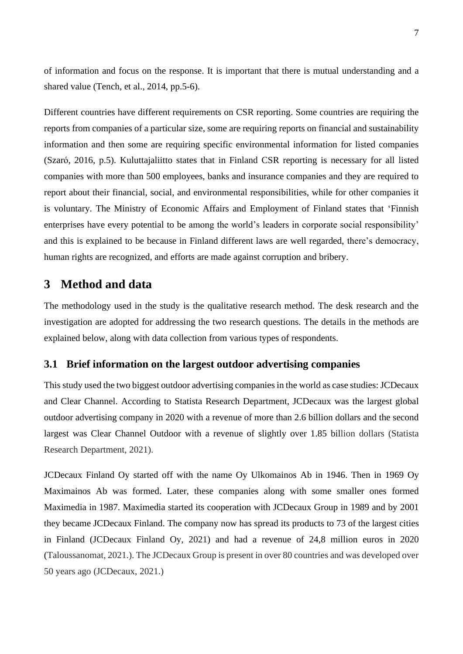of information and focus on the response. It is important that there is mutual understanding and a shared value (Tench, et al., 2014, pp.5-6).

Different countries have different requirements on CSR reporting. Some countries are requiring the reports from companies of a particular size, some are requiring reports on financial and sustainability information and then some are requiring specific environmental information for listed companies (Szaró, 2016, p.5). Kuluttajaliitto states that in Finland CSR reporting is necessary for all listed companies with more than 500 employees, banks and insurance companies and they are required to report about their financial, social, and environmental responsibilities, while for other companies it is voluntary. The Ministry of Economic Affairs and Employment of Finland states that 'Finnish enterprises have every potential to be among the world's leaders in corporate social responsibility' and this is explained to be because in Finland different laws are well regarded, there's democracy, human rights are recognized, and efforts are made against corruption and bribery.

## <span id="page-6-0"></span>**3 Method and data**

The methodology used in the study is the qualitative research method. The desk research and the investigation are adopted for addressing the two research questions. The details in the methods are explained below, along with data collection from various types of respondents.

## <span id="page-6-1"></span>**3.1 Brief information on the largest outdoor advertising companies**

This study used the two biggest outdoor advertising companies in the world as case studies: JCDecaux and Clear Channel. According to Statista Research Department, JCDecaux was the largest global outdoor advertising company in 2020 with a revenue of more than 2.6 billion dollars and the second largest was Clear Channel Outdoor with a revenue of slightly over 1.85 billion dollars (Statista Research Department, 2021).

JCDecaux Finland Oy started off with the name Oy Ulkomainos Ab in 1946. Then in 1969 Oy Maximainos Ab was formed. Later, these companies along with some smaller ones formed Maximedia in 1987. Maximedia started its cooperation with JCDecaux Group in 1989 and by 2001 they became JCDecaux Finland. The company now has spread its products to 73 of the largest cities in Finland (JCDecaux Finland Oy, 2021) and had a revenue of 24,8 million euros in 2020 (Taloussanomat, 2021.). The JCDecaux Group is present in over 80 countries and was developed over 50 years ago (JCDecaux, 2021.)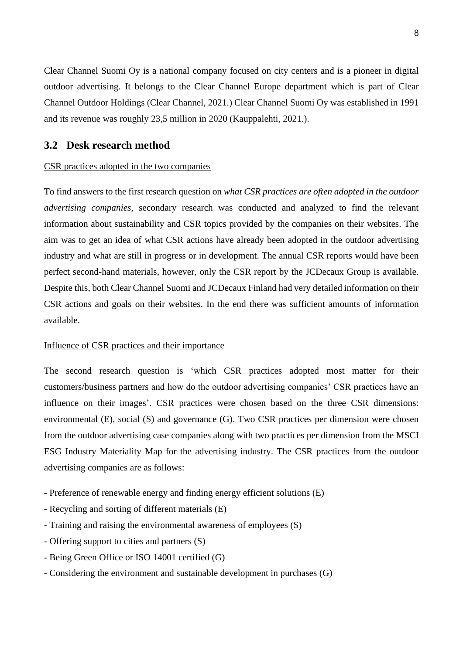Clear Channel Suomi Oy is a national company focused on city centers and is a pioneer in digital outdoor advertising. It belongs to the Clear Channel Europe department which is part of Clear Channel Outdoor Holdings (Clear Channel, 2021.) Clear Channel Suomi Oy was established in 1991 and its revenue was roughly 23,5 million in 2020 (Kauppalehti, 2021.).

## <span id="page-7-0"></span>**3.2 Desk research method**

#### CSR practices adopted in the two companies

To find answers to the first research question on *what CSR practices are often adopted in the outdoor advertising companies,* secondary research was conducted and analyzed to find the relevant information about sustainability and CSR topics provided by the companies on their websites. The aim was to get an idea of what CSR actions have already been adopted in the outdoor advertising industry and what are still in progress or in development. The annual CSR reports would have been perfect second-hand materials, however, only the CSR report by the JCDecaux Group is available. Despite this, both Clear Channel Suomi and JCDecaux Finland had very detailed information on their CSR actions and goals on their websites. In the end there was sufficient amounts of information available.

#### Influence of CSR practices and their importance

The second research question is 'which CSR practices adopted most matter for their customers/business partners and how do the outdoor advertising companies' CSR practices have an influence on their images'. CSR practices were chosen based on the three CSR dimensions: environmental (E), social (S) and governance (G). Two CSR practices per dimension were chosen from the outdoor advertising case companies along with two practices per dimension from the MSCI ESG Industry Materiality Map for the advertising industry. The CSR practices from the outdoor advertising companies are as follows:

- Preference of renewable energy and finding energy efficient solutions (E)
- Recycling and sorting of different materials (E)
- Training and raising the environmental awareness of employees (S)
- Offering support to cities and partners (S)
- Being Green Office or ISO 14001 certified (G)
- Considering the environment and sustainable development in purchases (G)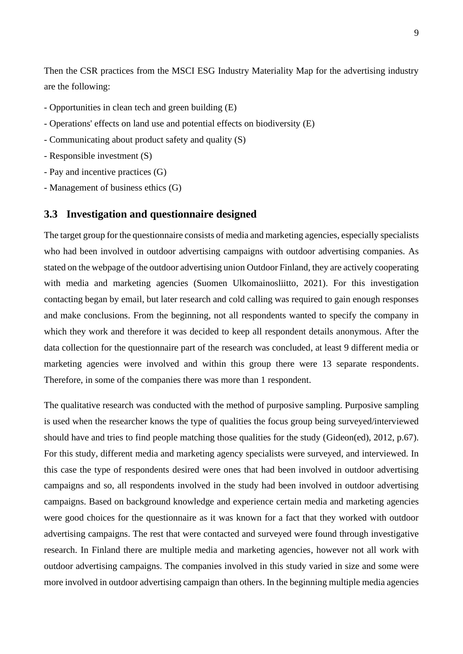Then the CSR practices from the MSCI ESG Industry Materiality Map for the advertising industry are the following:

- Opportunities in clean tech and green building (E)
- Operations' effects on land use and potential effects on biodiversity (E)
- Communicating about product safety and quality (S)
- Responsible investment (S)
- Pay and incentive practices (G)
- Management of business ethics (G)

#### <span id="page-8-0"></span>**3.3 Investigation and questionnaire designed**

The target group for the questionnaire consists of media and marketing agencies, especially specialists who had been involved in outdoor advertising campaigns with outdoor advertising companies. As stated on the webpage of the outdoor advertising union Outdoor Finland, they are actively cooperating with media and marketing agencies (Suomen Ulkomainosliitto, 2021). For this investigation contacting began by email, but later research and cold calling was required to gain enough responses and make conclusions. From the beginning, not all respondents wanted to specify the company in which they work and therefore it was decided to keep all respondent details anonymous. After the data collection for the questionnaire part of the research was concluded, at least 9 different media or marketing agencies were involved and within this group there were 13 separate respondents. Therefore, in some of the companies there was more than 1 respondent.

The qualitative research was conducted with the method of purposive sampling. Purposive sampling is used when the researcher knows the type of qualities the focus group being surveyed/interviewed should have and tries to find people matching those qualities for the study (Gideon(ed), 2012, p.67). For this study, different media and marketing agency specialists were surveyed, and interviewed. In this case the type of respondents desired were ones that had been involved in outdoor advertising campaigns and so, all respondents involved in the study had been involved in outdoor advertising campaigns. Based on background knowledge and experience certain media and marketing agencies were good choices for the questionnaire as it was known for a fact that they worked with outdoor advertising campaigns. The rest that were contacted and surveyed were found through investigative research. In Finland there are multiple media and marketing agencies, however not all work with outdoor advertising campaigns. The companies involved in this study varied in size and some were more involved in outdoor advertising campaign than others. In the beginning multiple media agencies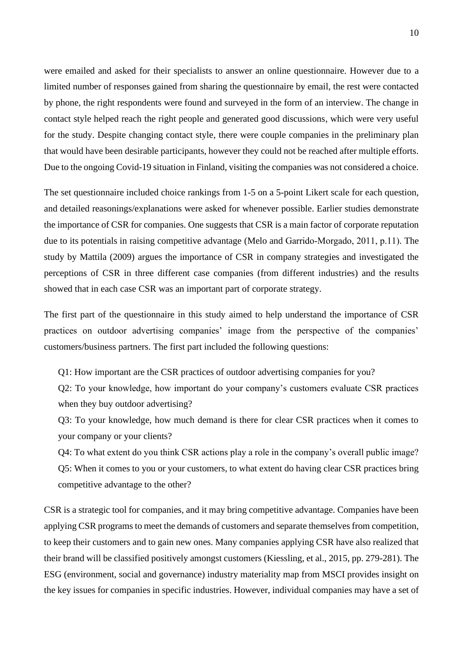were emailed and asked for their specialists to answer an online questionnaire. However due to a limited number of responses gained from sharing the questionnaire by email, the rest were contacted by phone, the right respondents were found and surveyed in the form of an interview. The change in contact style helped reach the right people and generated good discussions, which were very useful for the study. Despite changing contact style, there were couple companies in the preliminary plan that would have been desirable participants, however they could not be reached after multiple efforts. Due to the ongoing Covid-19 situation in Finland, visiting the companies was not considered a choice.

The set questionnaire included choice rankings from 1-5 on a 5-point Likert scale for each question, and detailed reasonings/explanations were asked for whenever possible. Earlier studies demonstrate the importance of CSR for companies. One suggests that CSR is a main factor of corporate reputation due to its potentials in raising competitive advantage (Melo and Garrido‐Morgado, 2011, p.11). The study by Mattila (2009) argues the importance of CSR in company strategies and investigated the perceptions of CSR in three different case companies (from different industries) and the results showed that in each case CSR was an important part of corporate strategy.

The first part of the questionnaire in this study aimed to help understand the importance of CSR practices on outdoor advertising companies' image from the perspective of the companies' customers/business partners. The first part included the following questions:

Q1: How important are the CSR practices of outdoor advertising companies for you?

Q2: To your knowledge, how important do your company's customers evaluate CSR practices when they buy outdoor advertising?

Q3: To your knowledge, how much demand is there for clear CSR practices when it comes to your company or your clients?

Q4: To what extent do you think CSR actions play a role in the company's overall public image? Q5: When it comes to you or your customers, to what extent do having clear CSR practices bring competitive advantage to the other?

CSR is a strategic tool for companies, and it may bring competitive advantage. Companies have been applying CSR programs to meet the demands of customers and separate themselves from competition, to keep their customers and to gain new ones. Many companies applying CSR have also realized that their brand will be classified positively amongst customers (Kiessling, et al., 2015, pp. 279-281). The ESG (environment, social and governance) industry materiality map from MSCI provides insight on the key issues for companies in specific industries. However, individual companies may have a set of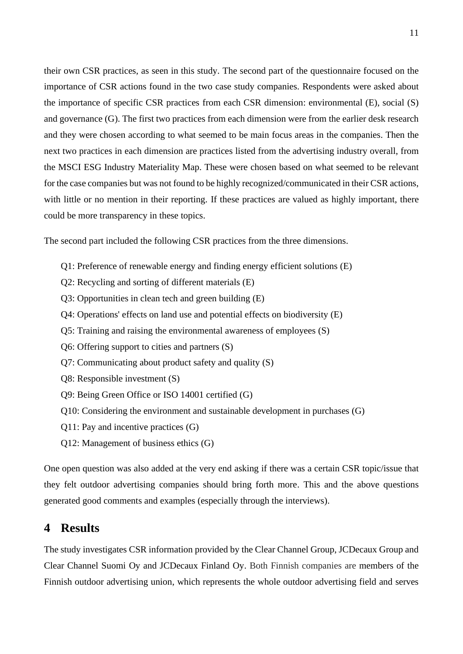their own CSR practices, as seen in this study. The second part of the questionnaire focused on the importance of CSR actions found in the two case study companies. Respondents were asked about the importance of specific CSR practices from each CSR dimension: environmental (E), social (S) and governance (G). The first two practices from each dimension were from the earlier desk research and they were chosen according to what seemed to be main focus areas in the companies. Then the next two practices in each dimension are practices listed from the advertising industry overall, from the MSCI ESG Industry Materiality Map. These were chosen based on what seemed to be relevant for the case companies but was not found to be highly recognized/communicated in their CSR actions, with little or no mention in their reporting. If these practices are valued as highly important, there could be more transparency in these topics.

The second part included the following CSR practices from the three dimensions.

- Q1: Preference of renewable energy and finding energy efficient solutions (E)
- Q2: Recycling and sorting of different materials (E)
- Q3: Opportunities in clean tech and green building (E)
- Q4: Operations' effects on land use and potential effects on biodiversity (E)
- Q5: Training and raising the environmental awareness of employees (S)
- Q6: Offering support to cities and partners (S)
- Q7: Communicating about product safety and quality (S)
- Q8: Responsible investment (S)
- Q9: Being Green Office or ISO 14001 certified (G)
- Q10: Considering the environment and sustainable development in purchases (G)
- Q11: Pay and incentive practices (G)
- Q12: Management of business ethics (G)

One open question was also added at the very end asking if there was a certain CSR topic/issue that they felt outdoor advertising companies should bring forth more. This and the above questions generated good comments and examples (especially through the interviews).

## <span id="page-10-0"></span>**4 Results**

The study investigates CSR information provided by the Clear Channel Group, JCDecaux Group and Clear Channel Suomi Oy and JCDecaux Finland Oy. Both Finnish companies are members of the Finnish outdoor advertising union, which represents the whole outdoor advertising field and serves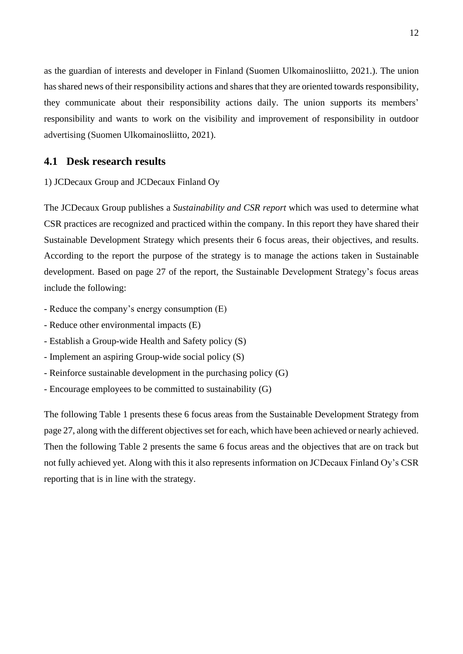as the guardian of interests and developer in Finland (Suomen Ulkomainosliitto, 2021.). The union has shared news of their responsibility actions and shares that they are oriented towards responsibility, they communicate about their responsibility actions daily. The union supports its members' responsibility and wants to work on the visibility and improvement of responsibility in outdoor advertising (Suomen Ulkomainosliitto, 2021).

#### <span id="page-11-0"></span>**4.1 Desk research results**

1) JCDecaux Group and JCDecaux Finland Oy

The JCDecaux Group publishes a *Sustainability and CSR report* which was used to determine what CSR practices are recognized and practiced within the company. In this report they have shared their Sustainable Development Strategy which presents their 6 focus areas, their objectives, and results. According to the report the purpose of the strategy is to manage the actions taken in Sustainable development. Based on page 27 of the report, the Sustainable Development Strategy's focus areas include the following:

- Reduce the company's energy consumption (E)
- Reduce other environmental impacts (E)
- Establish a Group-wide Health and Safety policy (S)
- Implement an aspiring Group-wide social policy (S)
- Reinforce sustainable development in the purchasing policy (G)
- Encourage employees to be committed to sustainability (G)

The following Table 1 presents these 6 focus areas from the Sustainable Development Strategy from page 27, along with the different objectives set for each, which have been achieved or nearly achieved. Then the following Table 2 presents the same 6 focus areas and the objectives that are on track but not fully achieved yet. Along with this it also represents information on JCDecaux Finland Oy's CSR reporting that is in line with the strategy.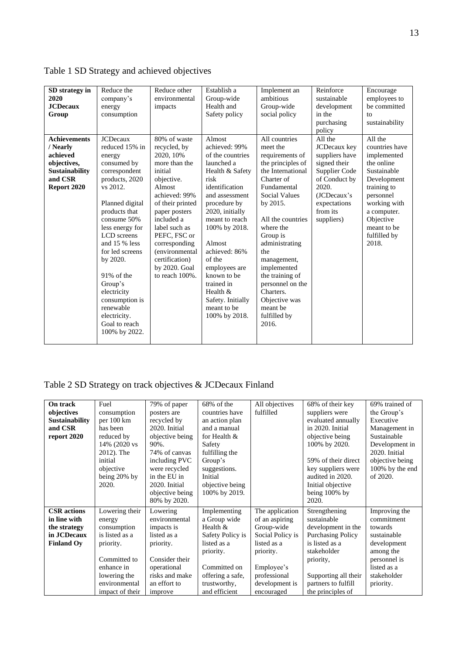| SD strategy in<br>2020<br><b>JCDecaux</b><br>Group                                                            | Reduce the<br>company's<br>energy<br>consumption                                                                                                                                                                                                                                                                                                                        | Reduce other<br>environmental<br>impacts                                                                                                                                                                                                                                                   | Establish a<br>Group-wide<br>Health and<br>Safety policy                                                                                                                                                                                                                                                                                             | Implement an<br>ambitious<br>Group-wide<br>social policy                                                                                                                                                                                                                                                                                                               | Reinforce<br>sustainable<br>development<br>in the<br>purchasing<br>policy                                                                                     | Encourage<br>employees to<br>be committed<br>to<br>sustainability                                                                                                                                    |
|---------------------------------------------------------------------------------------------------------------|-------------------------------------------------------------------------------------------------------------------------------------------------------------------------------------------------------------------------------------------------------------------------------------------------------------------------------------------------------------------------|--------------------------------------------------------------------------------------------------------------------------------------------------------------------------------------------------------------------------------------------------------------------------------------------|------------------------------------------------------------------------------------------------------------------------------------------------------------------------------------------------------------------------------------------------------------------------------------------------------------------------------------------------------|------------------------------------------------------------------------------------------------------------------------------------------------------------------------------------------------------------------------------------------------------------------------------------------------------------------------------------------------------------------------|---------------------------------------------------------------------------------------------------------------------------------------------------------------|------------------------------------------------------------------------------------------------------------------------------------------------------------------------------------------------------|
| <b>Achievements</b><br>/ Nearly<br>achieved<br>objectives,<br><b>Sustainability</b><br>and CSR<br>Report 2020 | <b>JCDecaux</b><br>reduced 15% in<br>energy<br>consumed by<br>correspondent<br>products, 2020<br>vs 2012.<br>Planned digital<br>products that<br>consume 50%<br>less energy for<br>LCD screens<br>and 15 % less<br>for led screens<br>by 2020.<br>91% of the<br>Group's<br>electricity<br>consumption is<br>renewable<br>electricity.<br>Goal to reach<br>100% by 2022. | 80% of waste<br>recycled, by<br>2020, 10%<br>more than the<br>initial<br>objective.<br>Almost<br>achieved: 99%<br>of their printed<br>paper posters<br>included a<br>label such as<br>PEFC, FSC or<br>corresponding<br>(environmental<br>certification)<br>by 2020. Goal<br>to reach 100%. | Almost<br>achieved: 99%<br>of the countries<br>launched a<br>Health & Safety<br>risk<br>identification<br>and assessment<br>procedure by<br>2020, initially<br>meant to reach<br>100% by 2018.<br>Almost<br>achieved: 86%<br>of the<br>employees are<br>known to be<br>trained in<br>Health $&$<br>Safety. Initially<br>meant to be<br>100% by 2018. | All countries<br>meet the<br>requirements of<br>the principles of<br>the International<br>Charter of<br>Fundamental<br><b>Social Values</b><br>by 2015.<br>All the countries<br>where the<br>Group is<br>administrating<br>the<br>management,<br>implemented<br>the training of<br>personnel on the<br>Charters.<br>Objective was<br>meant be<br>fulfilled by<br>2016. | All the<br>JCDecaux key<br>suppliers have<br>signed their<br>Supplier Code<br>of Conduct by<br>2020.<br>(JCDecaux's<br>expectations<br>from its<br>suppliers) | All the<br>countries have<br>implemented<br>the online<br>Sustainable<br>Development<br>training to<br>personnel<br>working with<br>a computer.<br>Objective<br>meant to be<br>fulfilled by<br>2018. |

Table 1 SD Strategy and achieved objectives

## Table 2 SD Strategy on track objectives & JCDecaux Finland

| On track              | Fuel            | 79% of paper    | 68% of the       | All objectives   | 68% of their key         | 69% trained of  |
|-----------------------|-----------------|-----------------|------------------|------------------|--------------------------|-----------------|
| objectives            | consumption     | posters are     | countries have   | fulfilled        | suppliers were           | the Group's     |
| <b>Sustainability</b> | per 100 km      | recycled by     | an action plan   |                  | evaluated annually       | Executive       |
| and CSR               | has been        | 2020. Initial   | and a manual     |                  | in 2020. Initial         | Management in   |
| report 2020           | reduced by      | objective being | for Health &     |                  | objective being          | Sustainable     |
|                       | 14% (2020 vs    | 90%.            | Safety           |                  | 100% by 2020.            | Development in  |
|                       | 2012). The      | 74% of canvas   | fulfilling the   |                  |                          | 2020. Initial   |
|                       | initial         | including PVC   | Group's          |                  | 59% of their direct      | objective being |
|                       | objective       | were recycled   | suggestions.     |                  | key suppliers were       | 100% by the end |
|                       | being 20% by    | in the EU in    | Initial          |                  | audited in 2020.         | of 2020.        |
|                       | 2020.           | 2020. Initial   | objective being  |                  | Initial objective        |                 |
|                       |                 | objective being | 100% by 2019.    |                  | being 100% by            |                 |
|                       |                 | 80% by 2020.    |                  |                  | 2020.                    |                 |
| <b>CSR</b> actions    | Lowering their  | Lowering        | Implementing     | The application  | Strengthening            | Improving the   |
| in line with          | energy          | environmental   | a Group wide     | of an aspiring   | sustainable              | commitment      |
| the strategy          | consumption     | impacts is      | Health $&$       | Group-wide       | development in the       | towards         |
| in JCDecaux           | is listed as a  | listed as a     | Safety Policy is | Social Policy is | <b>Purchasing Policy</b> | sustainable     |
| <b>Finland Oy</b>     | priority.       | priority.       | listed as a      | listed as a      | is listed as a           | development     |
|                       |                 |                 | priority.        | priority.        | stakeholder              | among the       |
|                       | Committed to    | Consider their  |                  |                  | priority,                | personnel is    |
|                       | enhance in      | operational     | Committed on     | Employee's       |                          | listed as a     |
|                       | lowering the    | risks and make  | offering a safe, | professional     | Supporting all their     | stakeholder     |
|                       | environmental   | an effort to    | trustworthy,     | development is   | partners to fulfill      | priority.       |
|                       | impact of their | improve         | and efficient    | encouraged       | the principles of        |                 |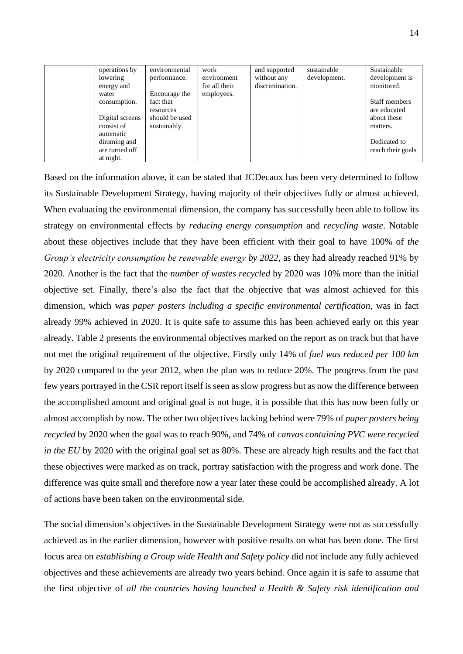| operations by   | environmental  | work          | and supported   | sustainable  | Sustainable       |
|-----------------|----------------|---------------|-----------------|--------------|-------------------|
| lowering        | performance.   | environment   | without any     | development. | development is    |
| energy and      |                | for all their | discrimination. |              | monitored.        |
| water           | Encourage the  | employees.    |                 |              |                   |
| consumption.    | fact that      |               |                 |              | Staff members     |
|                 | resources      |               |                 |              | are educated      |
| Digital screens | should be used |               |                 |              | about these       |
| consist of      | sustainably.   |               |                 |              | matters.          |
| automatic       |                |               |                 |              |                   |
| dimming and     |                |               |                 |              | Dedicated to      |
| are turned off  |                |               |                 |              | reach their goals |
| at night.       |                |               |                 |              |                   |

Based on the information above, it can be stated that JCDecaux has been very determined to follow its Sustainable Development Strategy, having majority of their objectives fully or almost achieved. When evaluating the environmental dimension, the company has successfully been able to follow its strategy on environmental effects by *reducing energy consumption* and *recycling waste*. Notable about these objectives include that they have been efficient with their goal to have 100% of *the Group's electricity consumption be renewable energy by 2022*, as they had already reached 91% by 2020. Another is the fact that the *number of wastes recycled* by 2020 was 10% more than the initial objective set. Finally, there's also the fact that the objective that was almost achieved for this dimension, which was *paper posters including a specific environmental certification*, was in fact already 99% achieved in 2020. It is quite safe to assume this has been achieved early on this year already. Table 2 presents the environmental objectives marked on the report as on track but that have not met the original requirement of the objective. Firstly only 14% of *fuel was reduced per 100 km* by 2020 compared to the year 2012, when the plan was to reduce 20%. The progress from the past few years portrayed in the CSR report itself is seen as slow progress but as now the difference between the accomplished amount and original goal is not huge, it is possible that this has now been fully or almost accomplish by now. The other two objectives lacking behind were 79% of *paper posters being recycled* by 2020 when the goal was to reach 90%, and 74% of *canvas containing PVC were recycled in the EU* by 2020 with the original goal set as 80%. These are already high results and the fact that these objectives were marked as on track, portray satisfaction with the progress and work done. The difference was quite small and therefore now a year later these could be accomplished already. A lot of actions have been taken on the environmental side.

The social dimension's objectives in the Sustainable Development Strategy were not as successfully achieved as in the earlier dimension, however with positive results on what has been done. The first focus area on *establishing a Group wide Health and Safety policy* did not include any fully achieved objectives and these achievements are already two years behind. Once again it is safe to assume that the first objective of *all the countries having launched a Health & Safety risk identification and*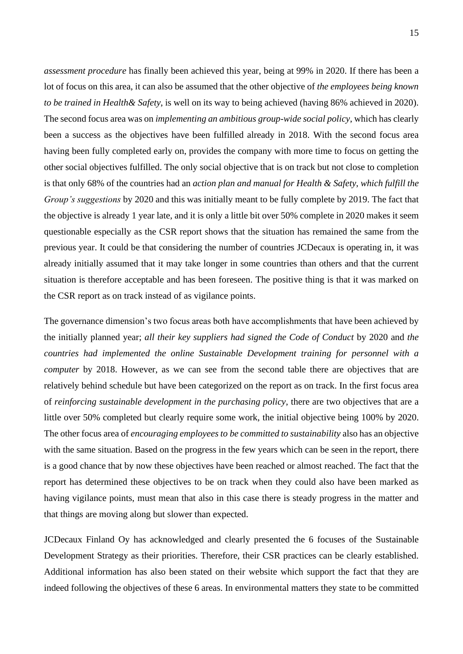*assessment procedure* has finally been achieved this year, being at 99% in 2020. If there has been a lot of focus on this area, it can also be assumed that the other objective of *the employees being known to be trained in Health& Safety*, is well on its way to being achieved (having 86% achieved in 2020). The second focus area was on *implementing an ambitious group-wide social policy*, which has clearly been a success as the objectives have been fulfilled already in 2018. With the second focus area having been fully completed early on, provides the company with more time to focus on getting the other social objectives fulfilled. The only social objective that is on track but not close to completion is that only 68% of the countries had an *action plan and manual for Health & Safety*, *which fulfill the Group's suggestions* by 2020 and this was initially meant to be fully complete by 2019. The fact that the objective is already 1 year late, and it is only a little bit over 50% complete in 2020 makes it seem questionable especially as the CSR report shows that the situation has remained the same from the previous year. It could be that considering the number of countries JCDecaux is operating in, it was already initially assumed that it may take longer in some countries than others and that the current situation is therefore acceptable and has been foreseen. The positive thing is that it was marked on the CSR report as on track instead of as vigilance points.

The governance dimension's two focus areas both have accomplishments that have been achieved by the initially planned year; *all their key suppliers had signed the Code of Conduct* by 2020 and *the countries had implemented the online Sustainable Development training for personnel with a computer* by 2018. However, as we can see from the second table there are objectives that are relatively behind schedule but have been categorized on the report as on track. In the first focus area of *reinforcing sustainable development in the purchasing policy*, there are two objectives that are a little over 50% completed but clearly require some work, the initial objective being 100% by 2020. The other focus area of *encouraging employees to be committed to sustainability* also has an objective with the same situation. Based on the progress in the few years which can be seen in the report, there is a good chance that by now these objectives have been reached or almost reached. The fact that the report has determined these objectives to be on track when they could also have been marked as having vigilance points, must mean that also in this case there is steady progress in the matter and that things are moving along but slower than expected.

JCDecaux Finland Oy has acknowledged and clearly presented the 6 focuses of the Sustainable Development Strategy as their priorities. Therefore, their CSR practices can be clearly established. Additional information has also been stated on their website which support the fact that they are indeed following the objectives of these 6 areas. In environmental matters they state to be committed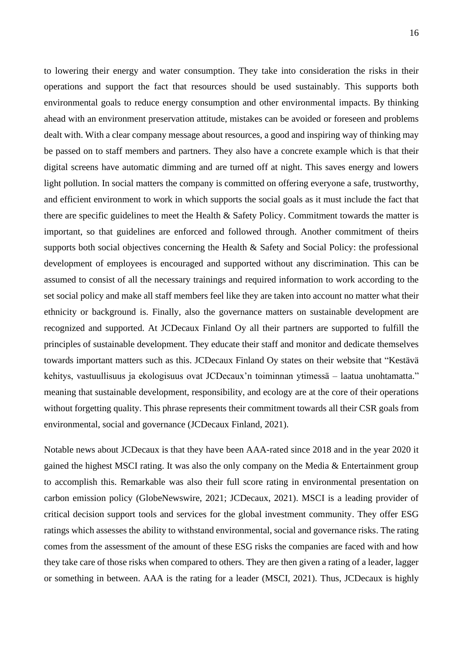to lowering their energy and water consumption. They take into consideration the risks in their operations and support the fact that resources should be used sustainably. This supports both environmental goals to reduce energy consumption and other environmental impacts. By thinking ahead with an environment preservation attitude, mistakes can be avoided or foreseen and problems dealt with. With a clear company message about resources, a good and inspiring way of thinking may be passed on to staff members and partners. They also have a concrete example which is that their digital screens have automatic dimming and are turned off at night. This saves energy and lowers light pollution. In social matters the company is committed on offering everyone a safe, trustworthy, and efficient environment to work in which supports the social goals as it must include the fact that there are specific guidelines to meet the Health  $\&$  Safety Policy. Commitment towards the matter is important, so that guidelines are enforced and followed through. Another commitment of theirs supports both social objectives concerning the Health & Safety and Social Policy: the professional development of employees is encouraged and supported without any discrimination. This can be assumed to consist of all the necessary trainings and required information to work according to the set social policy and make all staff members feel like they are taken into account no matter what their ethnicity or background is. Finally, also the governance matters on sustainable development are recognized and supported. At JCDecaux Finland Oy all their partners are supported to fulfill the principles of sustainable development. They educate their staff and monitor and dedicate themselves towards important matters such as this. JCDecaux Finland Oy states on their website that "Kestävä kehitys, vastuullisuus ja ekologisuus ovat JCDecaux'n toiminnan ytimessä – laatua unohtamatta." meaning that sustainable development, responsibility, and ecology are at the core of their operations without forgetting quality. This phrase represents their commitment towards all their CSR goals from environmental, social and governance (JCDecaux Finland, 2021).

Notable news about JCDecaux is that they have been AAA-rated since 2018 and in the year 2020 it gained the highest MSCI rating. It was also the only company on the Media & Entertainment group to accomplish this. Remarkable was also their full score rating in environmental presentation on carbon emission policy (GlobeNewswire, 2021; JCDecaux, 2021). MSCI is a leading provider of critical decision support tools and services for the global investment community. They offer ESG ratings which assesses the ability to withstand environmental, social and governance risks. The rating comes from the assessment of the amount of these ESG risks the companies are faced with and how they take care of those risks when compared to others. They are then given a rating of a leader, lagger or something in between. AAA is the rating for a leader (MSCI, 2021). Thus, JCDecaux is highly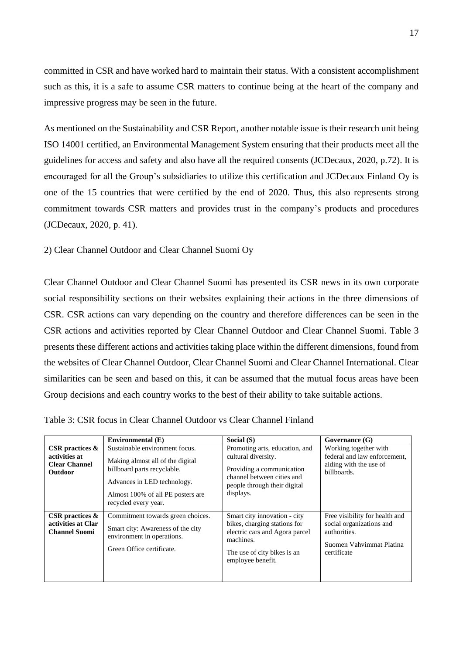committed in CSR and have worked hard to maintain their status. With a consistent accomplishment such as this, it is a safe to assume CSR matters to continue being at the heart of the company and impressive progress may be seen in the future.

As mentioned on the Sustainability and CSR Report, another notable issue is their research unit being ISO 14001 certified, an Environmental Management System ensuring that their products meet all the guidelines for access and safety and also have all the required consents (JCDecaux, 2020, p.72). It is encouraged for all the Group's subsidiaries to utilize this certification and JCDecaux Finland Oy is one of the 15 countries that were certified by the end of 2020. Thus, this also represents strong commitment towards CSR matters and provides trust in the company's products and procedures (JCDecaux, 2020, p. 41).

#### 2) Clear Channel Outdoor and Clear Channel Suomi Oy

Clear Channel Outdoor and Clear Channel Suomi has presented its CSR news in its own corporate social responsibility sections on their websites explaining their actions in the three dimensions of CSR. CSR actions can vary depending on the country and therefore differences can be seen in the CSR actions and activities reported by Clear Channel Outdoor and Clear Channel Suomi. Table 3 presents these different actions and activities taking place within the different dimensions, found from the websites of Clear Channel Outdoor, Clear Channel Suomi and Clear Channel International. Clear similarities can be seen and based on this, it can be assumed that the mutual focus areas have been Group decisions and each country works to the best of their ability to take suitable actions.

|                                                                               |                                                                                                                                                                                                                    | Social (S)                                                                                                                                                      |                                                                                                                       |
|-------------------------------------------------------------------------------|--------------------------------------------------------------------------------------------------------------------------------------------------------------------------------------------------------------------|-----------------------------------------------------------------------------------------------------------------------------------------------------------------|-----------------------------------------------------------------------------------------------------------------------|
| CSR practices $\&$<br>activities at<br><b>Clear Channel</b><br><b>Outdoor</b> | Environmental (E)<br>Sustainable environment focus.<br>Making almost all of the digital<br>billboard parts recyclable.<br>Advances in LED technology.<br>Almost 100% of all PE posters are<br>recycled every year. | Promoting arts, education, and<br>cultural diversity.<br>Providing a communication<br>channel between cities and<br>people through their digital<br>displays.   | Governance (G)<br>Working together with<br>federal and law enforcement,<br>aiding with the use of<br>billboards.      |
| CSR practices $\&$<br>activities at Clar<br><b>Channel Suomi</b>              | Commitment towards green choices.<br>Smart city: Awareness of the city<br>environment in operations.<br>Green Office certificate.                                                                                  | Smart city innovation - city<br>bikes, charging stations for<br>electric cars and Agora parcel<br>machines.<br>The use of city bikes is an<br>employee benefit. | Free visibility for health and<br>social organizations and<br>authorities.<br>Suomen Vahvimmat Platina<br>certificate |

Table 3: CSR focus in Clear Channel Outdoor vs Clear Channel Finland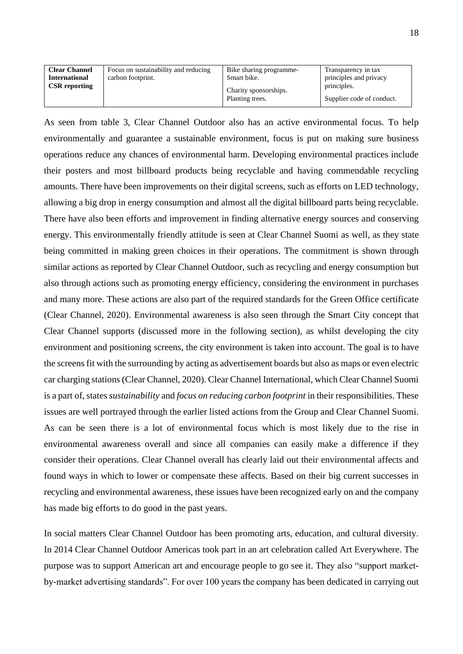| <b>Clear Channel</b><br><b>International</b><br><b>CSR</b> reporting | Focus on sustainability and reducing<br>carbon footprint. | Bike sharing programme-<br>Smart bike.<br>Charity sponsorships. | Transparency in tax<br>principles and privacy<br>principles. |
|----------------------------------------------------------------------|-----------------------------------------------------------|-----------------------------------------------------------------|--------------------------------------------------------------|
|                                                                      |                                                           | Planting trees.                                                 | Supplier code of conduct.                                    |

As seen from table 3, Clear Channel Outdoor also has an active environmental focus. To help environmentally and guarantee a sustainable environment, focus is put on making sure business operations reduce any chances of environmental harm. Developing environmental practices include their posters and most billboard products being recyclable and having commendable recycling amounts. There have been improvements on their digital screens, such as efforts on LED technology, allowing a big drop in energy consumption and almost all the digital billboard parts being recyclable. There have also been efforts and improvement in finding alternative energy sources and conserving energy. This environmentally friendly attitude is seen at Clear Channel Suomi as well, as they state being committed in making green choices in their operations. The commitment is shown through similar actions as reported by Clear Channel Outdoor, such as recycling and energy consumption but also through actions such as promoting energy efficiency, considering the environment in purchases and many more. These actions are also part of the required standards for the Green Office certificate (Clear Channel, 2020). Environmental awareness is also seen through the Smart City concept that Clear Channel supports (discussed more in the following section), as whilst developing the city environment and positioning screens, the city environment is taken into account. The goal is to have the screens fit with the surrounding by acting as advertisement boards but also as maps or even electric car charging stations (Clear Channel, 2020). Clear Channel International, which Clear Channel Suomi is a part of, states *sustainability* and *focus on reducing carbon footprint* in their responsibilities. These issues are well portrayed through the earlier listed actions from the Group and Clear Channel Suomi. As can be seen there is a lot of environmental focus which is most likely due to the rise in environmental awareness overall and since all companies can easily make a difference if they consider their operations. Clear Channel overall has clearly laid out their environmental affects and found ways in which to lower or compensate these affects. Based on their big current successes in recycling and environmental awareness, these issues have been recognized early on and the company has made big efforts to do good in the past years.

In social matters Clear Channel Outdoor has been promoting arts, education, and cultural diversity. In 2014 Clear Channel Outdoor Americas took part in an art celebration called Art Everywhere. The purpose was to support American art and encourage people to go see it. They also "support marketby-market advertising standards". For over 100 years the company has been dedicated in carrying out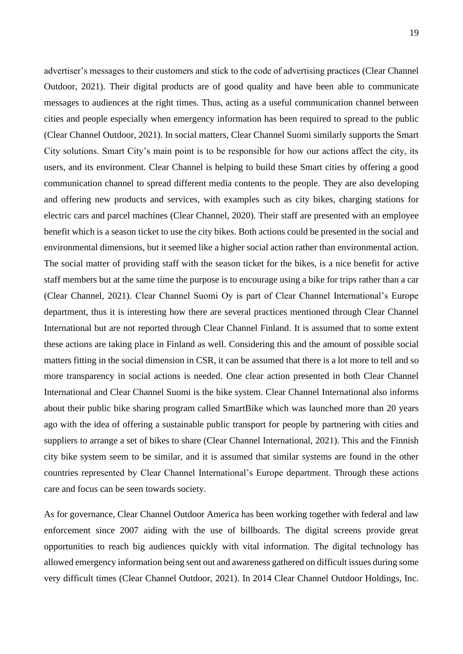advertiser's messages to their customers and stick to the code of advertising practices (Clear Channel Outdoor, 2021). Their digital products are of good quality and have been able to communicate messages to audiences at the right times. Thus, acting as a useful communication channel between cities and people especially when emergency information has been required to spread to the public (Clear Channel Outdoor, 2021). In social matters, Clear Channel Suomi similarly supports the Smart City solutions. Smart City's main point is to be responsible for how our actions affect the city, its users, and its environment. Clear Channel is helping to build these Smart cities by offering a good communication channel to spread different media contents to the people. They are also developing and offering new products and services, with examples such as city bikes, charging stations for electric cars and parcel machines (Clear Channel, 2020). Their staff are presented with an employee benefit which is a season ticket to use the city bikes. Both actions could be presented in the social and environmental dimensions, but it seemed like a higher social action rather than environmental action. The social matter of providing staff with the season ticket for the bikes, is a nice benefit for active staff members but at the same time the purpose is to encourage using a bike for trips rather than a car (Clear Channel, 2021). Clear Channel Suomi Oy is part of Clear Channel International's Europe department, thus it is interesting how there are several practices mentioned through Clear Channel International but are not reported through Clear Channel Finland. It is assumed that to some extent these actions are taking place in Finland as well. Considering this and the amount of possible social matters fitting in the social dimension in CSR, it can be assumed that there is a lot more to tell and so more transparency in social actions is needed. One clear action presented in both Clear Channel International and Clear Channel Suomi is the bike system. Clear Channel International also informs about their public bike sharing program called SmartBike which was launched more than 20 years ago with the idea of offering a sustainable public transport for people by partnering with cities and suppliers to arrange a set of bikes to share (Clear Channel International, 2021). This and the Finnish city bike system seem to be similar, and it is assumed that similar systems are found in the other countries represented by Clear Channel International's Europe department. Through these actions care and focus can be seen towards society.

As for governance, Clear Channel Outdoor America has been working together with federal and law enforcement since 2007 aiding with the use of billboards. The digital screens provide great opportunities to reach big audiences quickly with vital information. The digital technology has allowed emergency information being sent out and awareness gathered on difficult issues during some very difficult times (Clear Channel Outdoor, 2021). In 2014 Clear Channel Outdoor Holdings, Inc.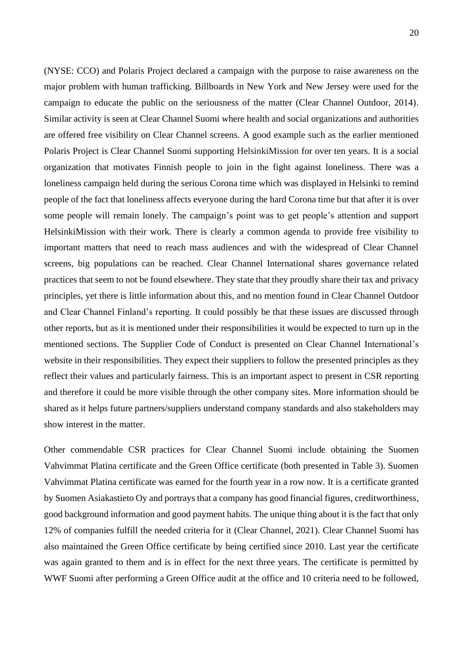(NYSE: CCO) and Polaris Project declared a campaign with the purpose to raise awareness on the major problem with human trafficking. Billboards in New York and New Jersey were used for the campaign to educate the public on the seriousness of the matter (Clear Channel Outdoor, 2014). Similar activity is seen at Clear Channel Suomi where health and social organizations and authorities are offered free visibility on Clear Channel screens. A good example such as the earlier mentioned Polaris Project is Clear Channel Suomi supporting HelsinkiMission for over ten years. It is a social organization that motivates Finnish people to join in the fight against loneliness. There was a loneliness campaign held during the serious Corona time which was displayed in Helsinki to remind people of the fact that loneliness affects everyone during the hard Corona time but that after it is over some people will remain lonely. The campaign's point was to get people's attention and support HelsinkiMission with their work. There is clearly a common agenda to provide free visibility to important matters that need to reach mass audiences and with the widespread of Clear Channel screens, big populations can be reached. Clear Channel International shares governance related practices that seem to not be found elsewhere. They state that they proudly share their tax and privacy principles, yet there is little information about this, and no mention found in Clear Channel Outdoor and Clear Channel Finland's reporting. It could possibly be that these issues are discussed through other reports, but as it is mentioned under their responsibilities it would be expected to turn up in the mentioned sections. The Supplier Code of Conduct is presented on Clear Channel International's website in their responsibilities. They expect their suppliers to follow the presented principles as they reflect their values and particularly fairness. This is an important aspect to present in CSR reporting and therefore it could be more visible through the other company sites. More information should be shared as it helps future partners/suppliers understand company standards and also stakeholders may show interest in the matter.

Other commendable CSR practices for Clear Channel Suomi include obtaining the Suomen Vahvimmat Platina certificate and the Green Office certificate (both presented in Table 3). Suomen Vahvimmat Platina certificate was earned for the fourth year in a row now. It is a certificate granted by Suomen Asiakastieto Oy and portrays that a company has good financial figures, creditworthiness, good background information and good payment habits. The unique thing about it is the fact that only 12% of companies fulfill the needed criteria for it (Clear Channel, 2021). Clear Channel Suomi has also maintained the Green Office certificate by being certified since 2010. Last year the certificate was again granted to them and is in effect for the next three years. The certificate is permitted by WWF Suomi after performing a Green Office audit at the office and 10 criteria need to be followed,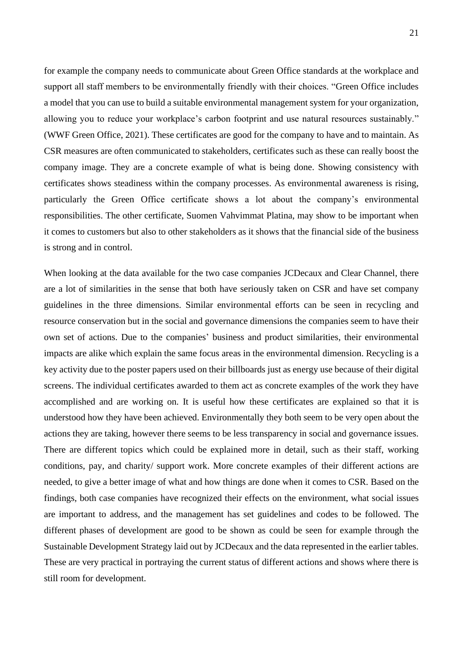for example the company needs to communicate about Green Office standards at the workplace and support all staff members to be environmentally friendly with their choices. "Green Office includes a model that you can use to build a suitable environmental management system for your organization, allowing you to reduce your workplace's carbon footprint and use natural resources sustainably." (WWF Green Office, 2021). These certificates are good for the company to have and to maintain. As CSR measures are often communicated to stakeholders, certificates such as these can really boost the company image. They are a concrete example of what is being done. Showing consistency with certificates shows steadiness within the company processes. As environmental awareness is rising, particularly the Green Office certificate shows a lot about the company's environmental responsibilities. The other certificate, Suomen Vahvimmat Platina, may show to be important when it comes to customers but also to other stakeholders as it shows that the financial side of the business is strong and in control.

When looking at the data available for the two case companies JCDecaux and Clear Channel, there are a lot of similarities in the sense that both have seriously taken on CSR and have set company guidelines in the three dimensions. Similar environmental efforts can be seen in recycling and resource conservation but in the social and governance dimensions the companies seem to have their own set of actions. Due to the companies' business and product similarities, their environmental impacts are alike which explain the same focus areas in the environmental dimension. Recycling is a key activity due to the poster papers used on their billboards just as energy use because of their digital screens. The individual certificates awarded to them act as concrete examples of the work they have accomplished and are working on. It is useful how these certificates are explained so that it is understood how they have been achieved. Environmentally they both seem to be very open about the actions they are taking, however there seems to be less transparency in social and governance issues. There are different topics which could be explained more in detail, such as their staff, working conditions, pay, and charity/ support work. More concrete examples of their different actions are needed, to give a better image of what and how things are done when it comes to CSR. Based on the findings, both case companies have recognized their effects on the environment, what social issues are important to address, and the management has set guidelines and codes to be followed. The different phases of development are good to be shown as could be seen for example through the Sustainable Development Strategy laid out by JCDecaux and the data represented in the earlier tables. These are very practical in portraying the current status of different actions and shows where there is still room for development.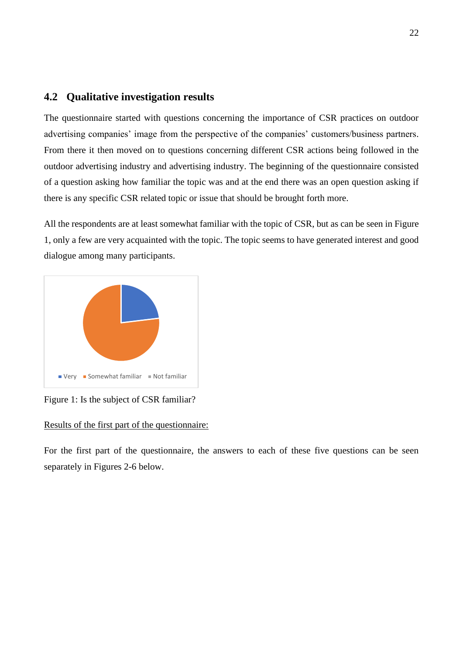## <span id="page-21-0"></span>**4.2 Qualitative investigation results**

The questionnaire started with questions concerning the importance of CSR practices on outdoor advertising companies' image from the perspective of the companies' customers/business partners. From there it then moved on to questions concerning different CSR actions being followed in the outdoor advertising industry and advertising industry. The beginning of the questionnaire consisted of a question asking how familiar the topic was and at the end there was an open question asking if there is any specific CSR related topic or issue that should be brought forth more.

All the respondents are at least somewhat familiar with the topic of CSR, but as can be seen in Figure 1, only a few are very acquainted with the topic. The topic seems to have generated interest and good dialogue among many participants.



Figure 1: Is the subject of CSR familiar?

#### Results of the first part of the questionnaire:

For the first part of the questionnaire, the answers to each of these five questions can be seen separately in Figures 2-6 below.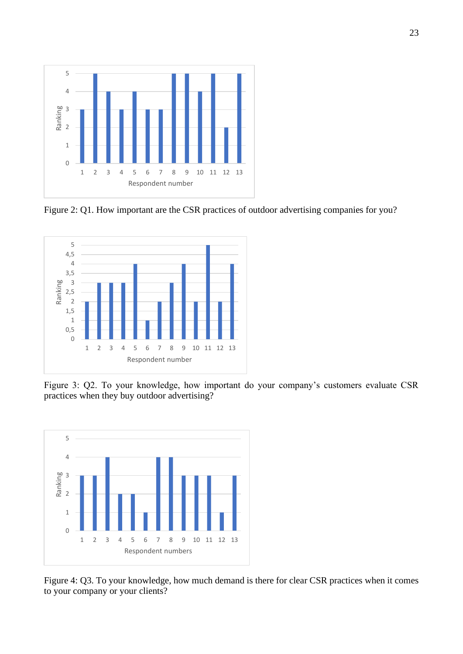

Figure 2: Q1. How important are the CSR practices of outdoor advertising companies for you?



Figure 3: Q2. To your knowledge, how important do your company's customers evaluate CSR practices when they buy outdoor advertising?



Figure 4: Q3. To your knowledge, how much demand is there for clear CSR practices when it comes to your company or your clients?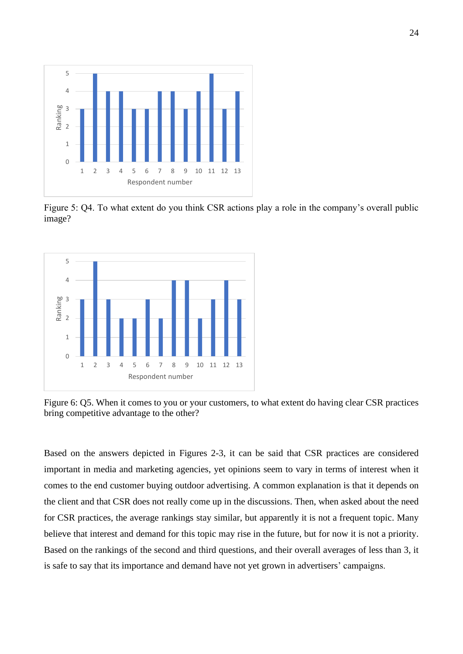

Figure 5: Q4. To what extent do you think CSR actions play a role in the company's overall public image?



Figure 6: Q5. When it comes to you or your customers, to what extent do having clear CSR practices bring competitive advantage to the other?

Based on the answers depicted in Figures 2-3, it can be said that CSR practices are considered important in media and marketing agencies, yet opinions seem to vary in terms of interest when it comes to the end customer buying outdoor advertising. A common explanation is that it depends on the client and that CSR does not really come up in the discussions. Then, when asked about the need for CSR practices, the average rankings stay similar, but apparently it is not a frequent topic. Many believe that interest and demand for this topic may rise in the future, but for now it is not a priority. Based on the rankings of the second and third questions, and their overall averages of less than 3, it is safe to say that its importance and demand have not yet grown in advertisers' campaigns.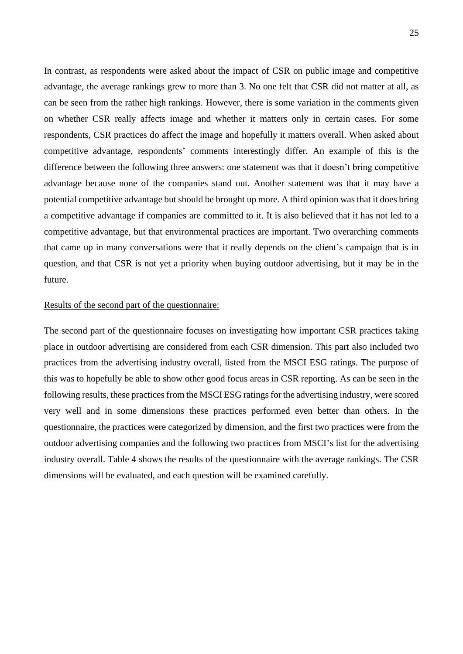In contrast, as respondents were asked about the impact of CSR on public image and competitive advantage, the average rankings grew to more than 3. No one felt that CSR did not matter at all, as can be seen from the rather high rankings. However, there is some variation in the comments given on whether CSR really affects image and whether it matters only in certain cases. For some respondents, CSR practices do affect the image and hopefully it matters overall. When asked about competitive advantage, respondents' comments interestingly differ. An example of this is the difference between the following three answers: one statement was that it doesn't bring competitive advantage because none of the companies stand out. Another statement was that it may have a potential competitive advantage but should be brought up more. A third opinion was that it does bring a competitive advantage if companies are committed to it. It is also believed that it has not led to a competitive advantage, but that environmental practices are important. Two overarching comments that came up in many conversations were that it really depends on the client's campaign that is in question, and that CSR is not yet a priority when buying outdoor advertising, but it may be in the future.

#### Results of the second part of the questionnaire:

The second part of the questionnaire focuses on investigating how important CSR practices taking place in outdoor advertising are considered from each CSR dimension. This part also included two practices from the advertising industry overall, listed from the MSCI ESG ratings. The purpose of this was to hopefully be able to show other good focus areas in CSR reporting. As can be seen in the following results, these practices from the MSCI ESG ratings for the advertising industry, were scored very well and in some dimensions these practices performed even better than others. In the questionnaire, the practices were categorized by dimension, and the first two practices were from the outdoor advertising companies and the following two practices from MSCI's list for the advertising industry overall. Table 4 shows the results of the questionnaire with the average rankings. The CSR dimensions will be evaluated, and each question will be examined carefully.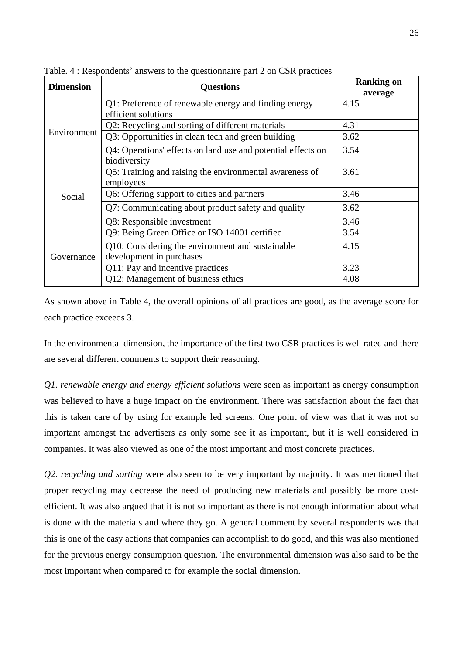| <b>Dimension</b> | <b>Questions</b>                                                             | <b>Ranking on</b> |
|------------------|------------------------------------------------------------------------------|-------------------|
|                  |                                                                              | average           |
|                  | Q1: Preference of renewable energy and finding energy                        | 4.15              |
|                  | efficient solutions                                                          |                   |
|                  | Q2: Recycling and sorting of different materials                             | 4.31              |
| Environment      | Q3: Opportunities in clean tech and green building                           | 3.62              |
|                  | Q4: Operations' effects on land use and potential effects on<br>biodiversity | 3.54              |
|                  | Q5: Training and raising the environmental awareness of<br>employees         | 3.61              |
| Social           | Q6: Offering support to cities and partners                                  | 3.46              |
|                  | Q7: Communicating about product safety and quality                           | 3.62              |
|                  | Q8: Responsible investment                                                   | 3.46              |
| Governance       | Q9: Being Green Office or ISO 14001 certified                                | 3.54              |
|                  | Q10: Considering the environment and sustainable                             | 4.15              |
|                  | development in purchases                                                     |                   |
|                  | Q11: Pay and incentive practices                                             | 3.23              |
|                  | Q12: Management of business ethics                                           | 4.08              |

Table. 4 : Respondents' answers to the questionnaire part 2 on CSR practices

As shown above in Table 4, the overall opinions of all practices are good, as the average score for each practice exceeds 3.

In the environmental dimension, the importance of the first two CSR practices is well rated and there are several different comments to support their reasoning.

*Q1. renewable energy and energy efficient solutions* were seen as important as energy consumption was believed to have a huge impact on the environment. There was satisfaction about the fact that this is taken care of by using for example led screens. One point of view was that it was not so important amongst the advertisers as only some see it as important, but it is well considered in companies. It was also viewed as one of the most important and most concrete practices.

*Q2*. *recycling and sorting* were also seen to be very important by majority. It was mentioned that proper recycling may decrease the need of producing new materials and possibly be more costefficient. It was also argued that it is not so important as there is not enough information about what is done with the materials and where they go. A general comment by several respondents was that this is one of the easy actions that companies can accomplish to do good, and this was also mentioned for the previous energy consumption question. The environmental dimension was also said to be the most important when compared to for example the social dimension.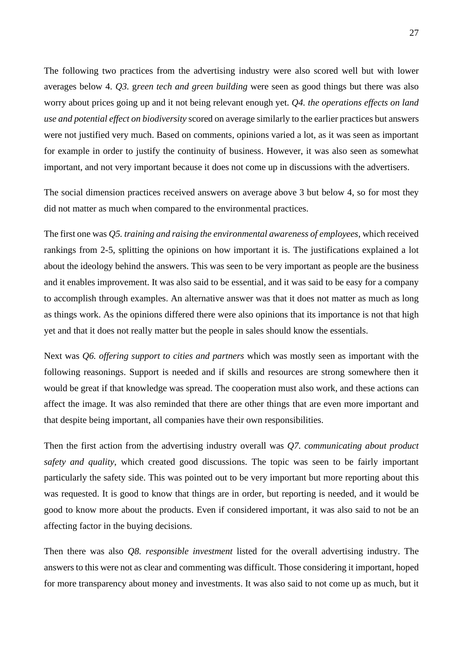The following two practices from the advertising industry were also scored well but with lower averages below 4. *Q3.* g*reen tech and green building* were seen as good things but there was also worry about prices going up and it not being relevant enough yet. *Q4. the operations effects on land use and potential effect on biodiversity* scored on average similarly to the earlier practices but answers were not justified very much. Based on comments, opinions varied a lot, as it was seen as important for example in order to justify the continuity of business. However, it was also seen as somewhat important, and not very important because it does not come up in discussions with the advertisers.

The social dimension practices received answers on average above 3 but below 4, so for most they did not matter as much when compared to the environmental practices.

The first one was *Q5. training and raising the environmental awareness of employees*, which received rankings from 2-5, splitting the opinions on how important it is. The justifications explained a lot about the ideology behind the answers. This was seen to be very important as people are the business and it enables improvement. It was also said to be essential, and it was said to be easy for a company to accomplish through examples. An alternative answer was that it does not matter as much as long as things work. As the opinions differed there were also opinions that its importance is not that high yet and that it does not really matter but the people in sales should know the essentials.

Next was *Q6. offering support to cities and partners* which was mostly seen as important with the following reasonings. Support is needed and if skills and resources are strong somewhere then it would be great if that knowledge was spread. The cooperation must also work, and these actions can affect the image. It was also reminded that there are other things that are even more important and that despite being important, all companies have their own responsibilities.

Then the first action from the advertising industry overall was *Q7. communicating about product safety and quality*, which created good discussions. The topic was seen to be fairly important particularly the safety side. This was pointed out to be very important but more reporting about this was requested. It is good to know that things are in order, but reporting is needed, and it would be good to know more about the products. Even if considered important, it was also said to not be an affecting factor in the buying decisions.

Then there was also *Q8. responsible investment* listed for the overall advertising industry. The answers to this were not as clear and commenting was difficult. Those considering it important, hoped for more transparency about money and investments. It was also said to not come up as much, but it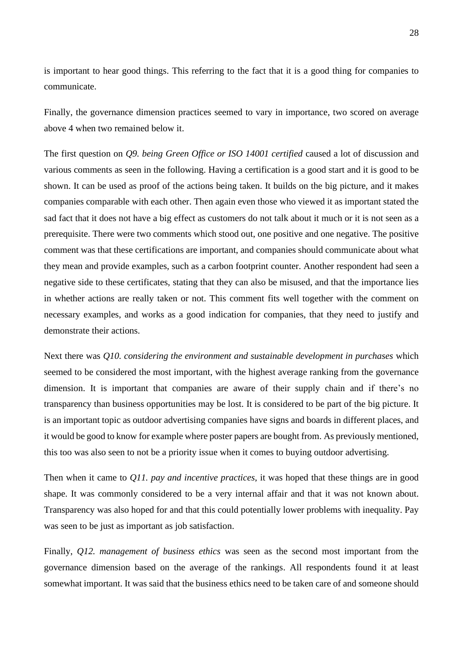is important to hear good things. This referring to the fact that it is a good thing for companies to communicate.

Finally, the governance dimension practices seemed to vary in importance, two scored on average above 4 when two remained below it.

The first question on *Q9. being Green Office or ISO 14001 certified* caused a lot of discussion and various comments as seen in the following. Having a certification is a good start and it is good to be shown. It can be used as proof of the actions being taken. It builds on the big picture, and it makes companies comparable with each other. Then again even those who viewed it as important stated the sad fact that it does not have a big effect as customers do not talk about it much or it is not seen as a prerequisite. There were two comments which stood out, one positive and one negative. The positive comment was that these certifications are important, and companies should communicate about what they mean and provide examples, such as a carbon footprint counter. Another respondent had seen a negative side to these certificates, stating that they can also be misused, and that the importance lies in whether actions are really taken or not. This comment fits well together with the comment on necessary examples, and works as a good indication for companies, that they need to justify and demonstrate their actions.

Next there was *Q10. considering the environment and sustainable development in purchases* which seemed to be considered the most important, with the highest average ranking from the governance dimension. It is important that companies are aware of their supply chain and if there's no transparency than business opportunities may be lost. It is considered to be part of the big picture. It is an important topic as outdoor advertising companies have signs and boards in different places, and it would be good to know for example where poster papers are bought from. As previously mentioned, this too was also seen to not be a priority issue when it comes to buying outdoor advertising.

Then when it came to *Q11. pay and incentive practices*, it was hoped that these things are in good shape. It was commonly considered to be a very internal affair and that it was not known about. Transparency was also hoped for and that this could potentially lower problems with inequality. Pay was seen to be just as important as job satisfaction.

Finally, *Q12. management of business ethics* was seen as the second most important from the governance dimension based on the average of the rankings. All respondents found it at least somewhat important. It was said that the business ethics need to be taken care of and someone should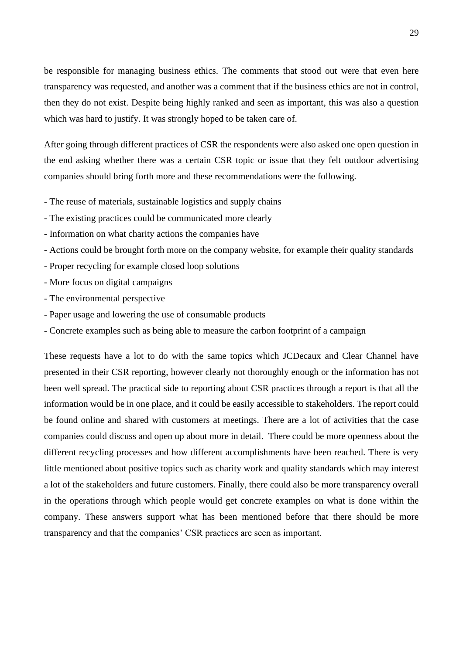be responsible for managing business ethics. The comments that stood out were that even here transparency was requested, and another was a comment that if the business ethics are not in control, then they do not exist. Despite being highly ranked and seen as important, this was also a question which was hard to justify. It was strongly hoped to be taken care of.

After going through different practices of CSR the respondents were also asked one open question in the end asking whether there was a certain CSR topic or issue that they felt outdoor advertising companies should bring forth more and these recommendations were the following.

- The reuse of materials, sustainable logistics and supply chains
- The existing practices could be communicated more clearly
- Information on what charity actions the companies have
- Actions could be brought forth more on the company website, for example their quality standards
- Proper recycling for example closed loop solutions
- More focus on digital campaigns
- The environmental perspective
- Paper usage and lowering the use of consumable products
- Concrete examples such as being able to measure the carbon footprint of a campaign

These requests have a lot to do with the same topics which JCDecaux and Clear Channel have presented in their CSR reporting, however clearly not thoroughly enough or the information has not been well spread. The practical side to reporting about CSR practices through a report is that all the information would be in one place, and it could be easily accessible to stakeholders. The report could be found online and shared with customers at meetings. There are a lot of activities that the case companies could discuss and open up about more in detail. There could be more openness about the different recycling processes and how different accomplishments have been reached. There is very little mentioned about positive topics such as charity work and quality standards which may interest a lot of the stakeholders and future customers. Finally, there could also be more transparency overall in the operations through which people would get concrete examples on what is done within the company. These answers support what has been mentioned before that there should be more transparency and that the companies' CSR practices are seen as important.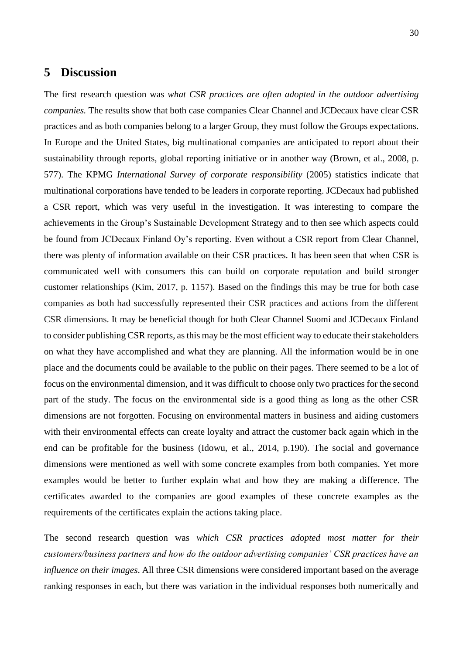## <span id="page-29-0"></span>**5 Discussion**

The first research question was *what CSR practices are often adopted in the outdoor advertising companies.* The results show that both case companies Clear Channel and JCDecaux have clear CSR practices and as both companies belong to a larger Group, they must follow the Groups expectations. In Europe and the United States, big multinational companies are anticipated to report about their sustainability through reports, global reporting initiative or in another way (Brown, et al., 2008, p. 577). The KPMG *International Survey of corporate responsibility* (2005) statistics indicate that multinational corporations have tended to be leaders in corporate reporting. JCDecaux had published a CSR report, which was very useful in the investigation. It was interesting to compare the achievements in the Group's Sustainable Development Strategy and to then see which aspects could be found from JCDecaux Finland Oy's reporting. Even without a CSR report from Clear Channel, there was plenty of information available on their CSR practices. It has been seen that when CSR is communicated well with consumers this can build on corporate reputation and build stronger customer relationships (Kim, 2017, p. 1157). Based on the findings this may be true for both case companies as both had successfully represented their CSR practices and actions from the different CSR dimensions. It may be beneficial though for both Clear Channel Suomi and JCDecaux Finland to consider publishing CSR reports, as this may be the most efficient way to educate their stakeholders on what they have accomplished and what they are planning. All the information would be in one place and the documents could be available to the public on their pages. There seemed to be a lot of focus on the environmental dimension, and it was difficult to choose only two practices for the second part of the study. The focus on the environmental side is a good thing as long as the other CSR dimensions are not forgotten. Focusing on environmental matters in business and aiding customers with their environmental effects can create loyalty and attract the customer back again which in the end can be profitable for the business (Idowu, et al., 2014, p.190). The social and governance dimensions were mentioned as well with some concrete examples from both companies. Yet more examples would be better to further explain what and how they are making a difference. The certificates awarded to the companies are good examples of these concrete examples as the requirements of the certificates explain the actions taking place.

The second research question was *which CSR practices adopted most matter for their customers/business partners and how do the outdoor advertising companies' CSR practices have an influence on their images*. All three CSR dimensions were considered important based on the average ranking responses in each, but there was variation in the individual responses both numerically and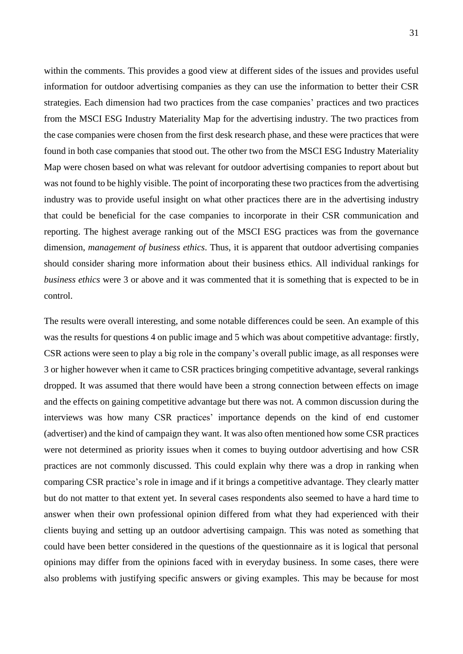within the comments. This provides a good view at different sides of the issues and provides useful information for outdoor advertising companies as they can use the information to better their CSR strategies. Each dimension had two practices from the case companies' practices and two practices from the MSCI ESG Industry Materiality Map for the advertising industry. The two practices from the case companies were chosen from the first desk research phase, and these were practices that were found in both case companies that stood out. The other two from the MSCI ESG Industry Materiality Map were chosen based on what was relevant for outdoor advertising companies to report about but was not found to be highly visible. The point of incorporating these two practices from the advertising industry was to provide useful insight on what other practices there are in the advertising industry that could be beneficial for the case companies to incorporate in their CSR communication and reporting. The highest average ranking out of the MSCI ESG practices was from the governance dimension, *management of business ethics*. Thus, it is apparent that outdoor advertising companies should consider sharing more information about their business ethics. All individual rankings for *business ethics* were 3 or above and it was commented that it is something that is expected to be in control.

The results were overall interesting, and some notable differences could be seen. An example of this was the results for questions 4 on public image and 5 which was about competitive advantage: firstly, CSR actions were seen to play a big role in the company's overall public image, as all responses were 3 or higher however when it came to CSR practices bringing competitive advantage, several rankings dropped. It was assumed that there would have been a strong connection between effects on image and the effects on gaining competitive advantage but there was not. A common discussion during the interviews was how many CSR practices' importance depends on the kind of end customer (advertiser) and the kind of campaign they want. It was also often mentioned how some CSR practices were not determined as priority issues when it comes to buying outdoor advertising and how CSR practices are not commonly discussed. This could explain why there was a drop in ranking when comparing CSR practice's role in image and if it brings a competitive advantage. They clearly matter but do not matter to that extent yet. In several cases respondents also seemed to have a hard time to answer when their own professional opinion differed from what they had experienced with their clients buying and setting up an outdoor advertising campaign. This was noted as something that could have been better considered in the questions of the questionnaire as it is logical that personal opinions may differ from the opinions faced with in everyday business. In some cases, there were also problems with justifying specific answers or giving examples. This may be because for most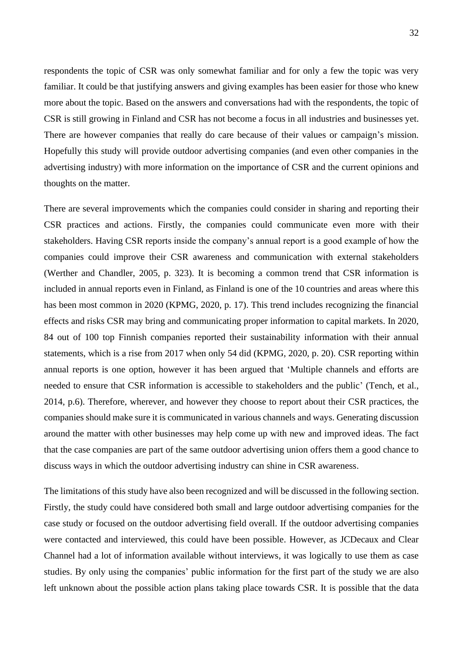respondents the topic of CSR was only somewhat familiar and for only a few the topic was very familiar. It could be that justifying answers and giving examples has been easier for those who knew more about the topic. Based on the answers and conversations had with the respondents, the topic of CSR is still growing in Finland and CSR has not become a focus in all industries and businesses yet. There are however companies that really do care because of their values or campaign's mission. Hopefully this study will provide outdoor advertising companies (and even other companies in the advertising industry) with more information on the importance of CSR and the current opinions and thoughts on the matter.

There are several improvements which the companies could consider in sharing and reporting their CSR practices and actions. Firstly, the companies could communicate even more with their stakeholders. Having CSR reports inside the company's annual report is a good example of how the companies could improve their CSR awareness and communication with external stakeholders (Werther and Chandler, 2005, p. 323). It is becoming a common trend that CSR information is included in annual reports even in Finland, as Finland is one of the 10 countries and areas where this has been most common in 2020 (KPMG, 2020, p. 17). This trend includes recognizing the financial effects and risks CSR may bring and communicating proper information to capital markets. In 2020, 84 out of 100 top Finnish companies reported their sustainability information with their annual statements, which is a rise from 2017 when only 54 did (KPMG, 2020, p. 20). CSR reporting within annual reports is one option, however it has been argued that 'Multiple channels and efforts are needed to ensure that CSR information is accessible to stakeholders and the public' (Tench, et al., 2014, p.6). Therefore, wherever, and however they choose to report about their CSR practices, the companies should make sure it is communicated in various channels and ways. Generating discussion around the matter with other businesses may help come up with new and improved ideas. The fact that the case companies are part of the same outdoor advertising union offers them a good chance to discuss ways in which the outdoor advertising industry can shine in CSR awareness.

The limitations of this study have also been recognized and will be discussed in the following section. Firstly, the study could have considered both small and large outdoor advertising companies for the case study or focused on the outdoor advertising field overall. If the outdoor advertising companies were contacted and interviewed, this could have been possible. However, as JCDecaux and Clear Channel had a lot of information available without interviews, it was logically to use them as case studies. By only using the companies' public information for the first part of the study we are also left unknown about the possible action plans taking place towards CSR. It is possible that the data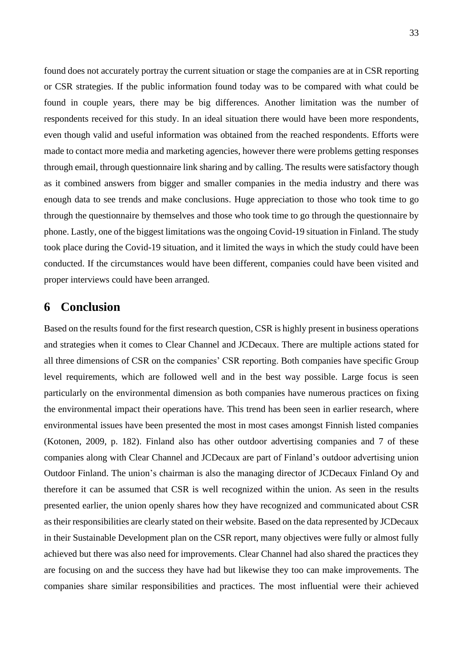found does not accurately portray the current situation or stage the companies are at in CSR reporting or CSR strategies. If the public information found today was to be compared with what could be found in couple years, there may be big differences. Another limitation was the number of respondents received for this study. In an ideal situation there would have been more respondents, even though valid and useful information was obtained from the reached respondents. Efforts were made to contact more media and marketing agencies, however there were problems getting responses through email, through questionnaire link sharing and by calling. The results were satisfactory though as it combined answers from bigger and smaller companies in the media industry and there was enough data to see trends and make conclusions. Huge appreciation to those who took time to go through the questionnaire by themselves and those who took time to go through the questionnaire by phone. Lastly, one of the biggest limitations was the ongoing Covid-19 situation in Finland. The study took place during the Covid-19 situation, and it limited the ways in which the study could have been conducted. If the circumstances would have been different, companies could have been visited and proper interviews could have been arranged.

## <span id="page-32-0"></span>**6 Conclusion**

Based on the results found for the first research question*,* CSR is highly present in business operations and strategies when it comes to Clear Channel and JCDecaux. There are multiple actions stated for all three dimensions of CSR on the companies' CSR reporting. Both companies have specific Group level requirements, which are followed well and in the best way possible. Large focus is seen particularly on the environmental dimension as both companies have numerous practices on fixing the environmental impact their operations have. This trend has been seen in earlier research, where environmental issues have been presented the most in most cases amongst Finnish listed companies (Kotonen, 2009, p. 182). Finland also has other outdoor advertising companies and 7 of these companies along with Clear Channel and JCDecaux are part of Finland's outdoor advertising union Outdoor Finland. The union's chairman is also the managing director of JCDecaux Finland Oy and therefore it can be assumed that CSR is well recognized within the union. As seen in the results presented earlier, the union openly shares how they have recognized and communicated about CSR as their responsibilities are clearly stated on their website. Based on the data represented by JCDecaux in their Sustainable Development plan on the CSR report, many objectives were fully or almost fully achieved but there was also need for improvements. Clear Channel had also shared the practices they are focusing on and the success they have had but likewise they too can make improvements. The companies share similar responsibilities and practices. The most influential were their achieved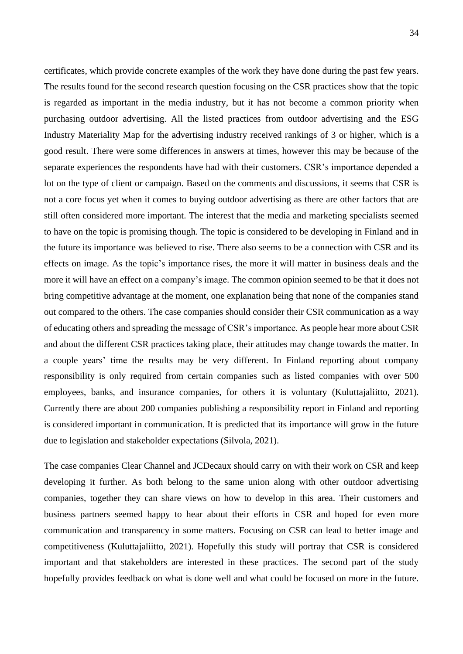certificates, which provide concrete examples of the work they have done during the past few years. The results found for the second research question focusing on the CSR practices show that the topic is regarded as important in the media industry, but it has not become a common priority when purchasing outdoor advertising. All the listed practices from outdoor advertising and the ESG Industry Materiality Map for the advertising industry received rankings of 3 or higher, which is a good result. There were some differences in answers at times, however this may be because of the separate experiences the respondents have had with their customers. CSR's importance depended a lot on the type of client or campaign. Based on the comments and discussions, it seems that CSR is not a core focus yet when it comes to buying outdoor advertising as there are other factors that are still often considered more important. The interest that the media and marketing specialists seemed to have on the topic is promising though. The topic is considered to be developing in Finland and in the future its importance was believed to rise. There also seems to be a connection with CSR and its effects on image. As the topic's importance rises, the more it will matter in business deals and the more it will have an effect on a company's image. The common opinion seemed to be that it does not bring competitive advantage at the moment, one explanation being that none of the companies stand out compared to the others. The case companies should consider their CSR communication as a way of educating others and spreading the message of CSR's importance. As people hear more about CSR and about the different CSR practices taking place, their attitudes may change towards the matter. In a couple years' time the results may be very different. In Finland reporting about company responsibility is only required from certain companies such as listed companies with over 500 employees, banks, and insurance companies, for others it is voluntary (Kuluttajaliitto, 2021). Currently there are about 200 companies publishing a responsibility report in Finland and reporting is considered important in communication. It is predicted that its importance will grow in the future due to legislation and stakeholder expectations (Silvola, 2021).

The case companies Clear Channel and JCDecaux should carry on with their work on CSR and keep developing it further. As both belong to the same union along with other outdoor advertising companies, together they can share views on how to develop in this area. Their customers and business partners seemed happy to hear about their efforts in CSR and hoped for even more communication and transparency in some matters. Focusing on CSR can lead to better image and competitiveness (Kuluttajaliitto, 2021). Hopefully this study will portray that CSR is considered important and that stakeholders are interested in these practices. The second part of the study hopefully provides feedback on what is done well and what could be focused on more in the future.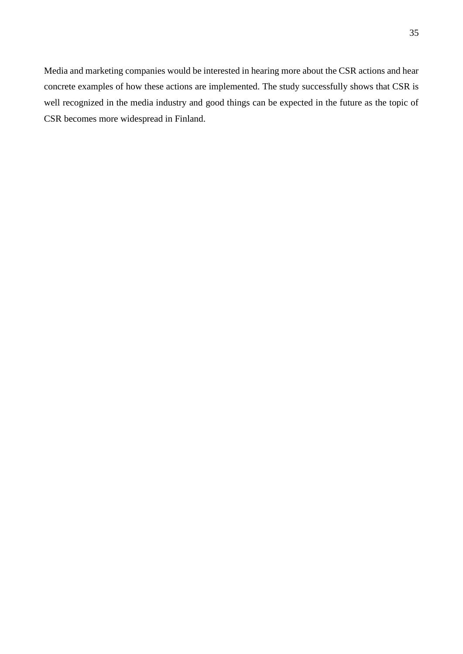Media and marketing companies would be interested in hearing more about the CSR actions and hear concrete examples of how these actions are implemented. The study successfully shows that CSR is well recognized in the media industry and good things can be expected in the future as the topic of CSR becomes more widespread in Finland.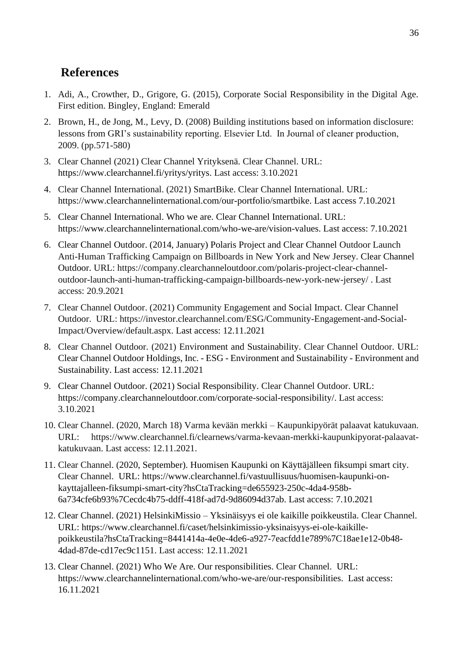## <span id="page-35-0"></span>**References**

- 1. Adi, A., Crowther, D., Grigore, G. (2015), Corporate Social Responsibility in the Digital Age. First edition. Bingley, England: Emerald
- 2. Brown, H., de Jong, M., Levy, D. (2008) Building institutions based on information disclosure: lessons from GRI's sustainability reporting. Elsevier Ltd. In Journal of cleaner production, 2009. (pp.571-580)
- 3. Clear Channel (2021) Clear Channel Yrityksenä. Clear Channel. URL: https://www.clearchannel.fi/yritys/yritys. Last access: 3.10.2021
- 4. Clear Channel International. (2021) SmartBike. Clear Channel International. URL: https://www.clearchannelinternational.com/our-portfolio/smartbike. Last access 7.10.2021
- 5. Clear Channel International. Who we are. Clear Channel International. URL: https://www.clearchannelinternational.com/who-we-are/vision-values. Last access: 7.10.2021
- 6. Clear Channel Outdoor. (2014, January) Polaris Project and Clear Channel Outdoor Launch Anti-Human Trafficking Campaign on Billboards in New York and New Jersey. Clear Channel Outdoor. URL: https://company.clearchanneloutdoor.com/polaris-project-clear-channeloutdoor-launch-anti-human-trafficking-campaign-billboards-new-york-new-jersey/ . Last access: 20.9.2021
- 7. Clear Channel Outdoor. (2021) Community Engagement and Social Impact. Clear Channel Outdoor. URL: https://investor.clearchannel.com/ESG/Community-Engagement-and-Social-Impact/Overview/default.aspx. Last access: 12.11.2021
- 8. Clear Channel Outdoor. (2021) Environment and Sustainability. Clear Channel Outdoor. URL: Clear Channel Outdoor Holdings, Inc. - ESG - Environment and Sustainability - Environment and Sustainability. Last access: 12.11.2021
- 9. Clear Channel Outdoor. (2021) Social Responsibility. Clear Channel Outdoor. URL: https://company.clearchanneloutdoor.com/corporate-social-responsibility/. Last access: 3.10.2021
- 10. Clear Channel. (2020, March 18) Varma kevään merkki Kaupunkipyörät palaavat katukuvaan. URL: https://www.clearchannel.fi/clearnews/varma-kevaan-merkki-kaupunkipyorat-palaavatkatukuvaan. Last access: 12.11.2021.
- 11. Clear Channel. (2020, September). Huomisen Kaupunki on Käyttäjälleen fiksumpi smart city. Clear Channel. URL: https://www.clearchannel.fi/vastuullisuus/huomisen-kaupunki-onkayttajalleen-fiksumpi-smart-city?hsCtaTracking=de655923-250c-4da4-958b-6a734cfe6b93%7Cecdc4b75-ddff-418f-ad7d-9d86094d37ab. Last access: 7.10.2021
- 12. Clear Channel. (2021) HelsinkiMissio Yksinäisyys ei ole kaikille poikkeustila. Clear Channel. URL: https://www.clearchannel.fi/caset/helsinkimissio-yksinaisyys-ei-ole-kaikillepoikkeustila?hsCtaTracking=8441414a-4e0e-4de6-a927-7eacfdd1e789%7C18ae1e12-0b48- 4dad-87de-cd17ec9c1151. Last access: 12.11.2021
- 13. Clear Channel. (2021) Who We Are. Our responsibilities. Clear Channel. URL: https://www.clearchannelinternational.com/who-we-are/our-responsibilities. Last access: 16.11.2021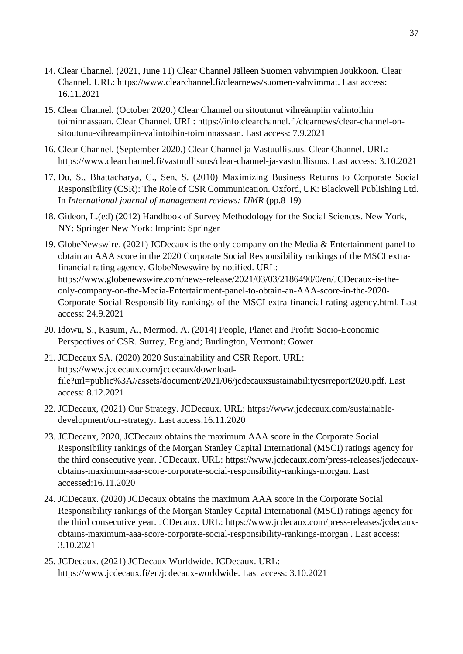- 14. Clear Channel. (2021, June 11) Clear Channel Jälleen Suomen vahvimpien Joukkoon. Clear Channel. URL: https://www.clearchannel.fi/clearnews/suomen-vahvimmat. Last access: 16.11.2021
- 15. Clear Channel. (October 2020.) Clear Channel on sitoutunut vihreämpiin valintoihin toiminnassaan. Clear Channel. URL: https://info.clearchannel.fi/clearnews/clear-channel-onsitoutunu-vihreampiin-valintoihin-toiminnassaan. Last access: 7.9.2021
- 16. Clear Channel. (September 2020.) Clear Channel ja Vastuullisuus. Clear Channel. URL: https://www.clearchannel.fi/vastuullisuus/clear-channel-ja-vastuullisuus. Last access: 3.10.2021
- 17. Du, S., Bhattacharya, C., Sen, S. (2010) Maximizing Business Returns to Corporate Social Responsibility (CSR): The Role of CSR Communication. Oxford, UK: Blackwell Publishing Ltd. In *International journal of management reviews: IJMR* (pp.8-19)
- 18. Gideon, L.(ed) (2012) Handbook of Survey Methodology for the Social Sciences. New York, NY: Springer New York: Imprint: Springer
- 19. GlobeNewswire. (2021) JCDecaux is the only company on the Media & Entertainment panel to obtain an AAA score in the 2020 Corporate Social Responsibility rankings of the MSCI extrafinancial rating agency. GlobeNewswire by notified. URL: https://www.globenewswire.com/news-release/2021/03/03/2186490/0/en/JCDecaux-is-theonly-company-on-the-Media-Entertainment-panel-to-obtain-an-AAA-score-in-the-2020- Corporate-Social-Responsibility-rankings-of-the-MSCI-extra-financial-rating-agency.html. Last access: 24.9.2021
- 20. Idowu, S., Kasum, A., Mermod. A. (2014) People, Planet and Profit: Socio-Economic Perspectives of CSR. Surrey, England; Burlington, Vermont: Gower
- 21. JCDecaux SA. (2020) 2020 Sustainability and CSR Report. URL: https://www.jcdecaux.com/jcdecaux/downloadfile?url=public%3A//assets/document/2021/06/jcdecauxsustainabilitycsrreport2020.pdf. Last access: 8.12.2021
- 22. JCDecaux, (2021) Our Strategy. JCDecaux. URL: https://www.jcdecaux.com/sustainabledevelopment/our-strategy. Last access:16.11.2020
- 23. JCDecaux, 2020, JCDecaux obtains the maximum AAA score in the Corporate Social Responsibility rankings of the Morgan Stanley Capital International (MSCI) ratings agency for the third consecutive year. JCDecaux. URL: https://www.jcdecaux.com/press-releases/jcdecauxobtains-maximum-aaa-score-corporate-social-responsibility-rankings-morgan. Last accessed:16.11.2020
- 24. JCDecaux. (2020) JCDecaux obtains the maximum AAA score in the Corporate Social Responsibility rankings of the Morgan Stanley Capital International (MSCI) ratings agency for the third consecutive year. JCDecaux. URL: https://www.jcdecaux.com/press-releases/jcdecauxobtains-maximum-aaa-score-corporate-social-responsibility-rankings-morgan . Last access: 3.10.2021
- 25. JCDecaux. (2021) JCDecaux Worldwide. JCDecaux. URL: https://www.jcdecaux.fi/en/jcdecaux-worldwide. Last access: 3.10.2021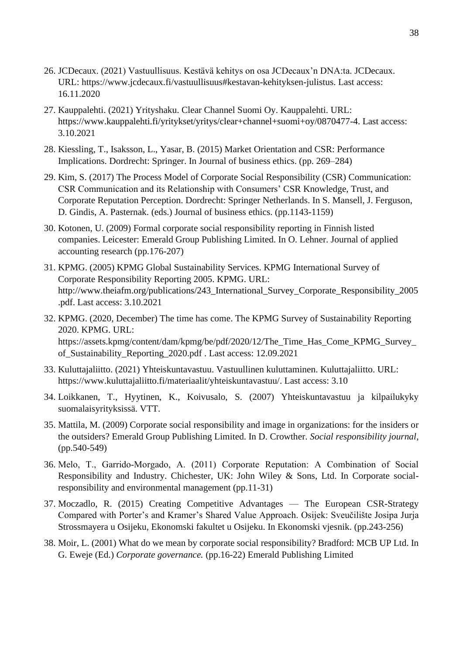- 26. JCDecaux. (2021) Vastuullisuus. Kestävä kehitys on osa JCDecaux'n DNA:ta. JCDecaux. URL: https://www.jcdecaux.fi/vastuullisuus#kestavan-kehityksen-julistus. Last access: 16.11.2020
- 27. Kauppalehti. (2021) Yrityshaku. Clear Channel Suomi Oy. Kauppalehti. URL: https://www.kauppalehti.fi/yritykset/yritys/clear+channel+suomi+oy/0870477-4. Last access: 3.10.2021
- 28. Kiessling, T., Isaksson, L., Yasar, B. (2015) Market Orientation and CSR: Performance Implications. Dordrecht: Springer. In Journal of business ethics. (pp. 269–284)
- 29. Kim, S. (2017) The Process Model of Corporate Social Responsibility (CSR) Communication: CSR Communication and its Relationship with Consumers' CSR Knowledge, Trust, and Corporate Reputation Perception. Dordrecht: Springer Netherlands. In S. Mansell, J. Ferguson, D. Gindis, A. Pasternak. (eds.) Journal of business ethics. (pp.1143-1159)
- 30. Kotonen, U. (2009) Formal corporate social responsibility reporting in Finnish listed companies. Leicester: Emerald Group Publishing Limited. In O. Lehner. Journal of applied accounting research (pp.176-207)
- 31. KPMG. (2005) KPMG Global Sustainability Services. KPMG International Survey of Corporate Responsibility Reporting 2005. KPMG. URL: http://www.theiafm.org/publications/243 International Survey Corporate Responsibility 2005 .pdf. Last access: 3.10.2021
- 32. KPMG. (2020, December) The time has come. The KPMG Survey of Sustainability Reporting 2020. KPMG. URL: https://assets.kpmg/content/dam/kpmg/be/pdf/2020/12/The\_Time\_Has\_Come\_KPMG\_Survey\_ of\_Sustainability\_Reporting\_2020.pdf . Last access: 12.09.2021
- 33. Kuluttajaliitto. (2021) Yhteiskuntavastuu. Vastuullinen kuluttaminen. Kuluttajaliitto. URL: https://www.kuluttajaliitto.fi/materiaalit/yhteiskuntavastuu/. Last access: 3.10
- 34. Loikkanen, T., Hyytinen, K., Koivusalo, S. (2007) Yhteiskuntavastuu ja kilpailukyky suomalaisyrityksissä. VTT.
- 35. Mattila, M. (2009) Corporate social responsibility and image in organizations: for the insiders or the outsiders? Emerald Group Publishing Limited. In D. Crowther. *Social responsibility journal*, (pp.540-549)
- 36. Melo, T., Garrido‐Morgado, A. (2011) Corporate Reputation: A Combination of Social Responsibility and Industry. Chichester, UK: John Wiley & Sons, Ltd. In Corporate socialresponsibility and environmental management (pp.11-31)
- 37. Moczadlo, R. (2015) Creating Competitive Advantages The European CSR-Strategy Compared with Porter's and Kramer's Shared Value Approach. Osijek: Sveučilište Josipa Jurja Strossmayera u Osijeku, Ekonomski fakultet u Osijeku. In Ekonomski vjesnik. (pp.243-256)
- 38. Moir, L. (2001) What do we mean by corporate social responsibility? Bradford: MCB UP Ltd. In G. Eweje (Ed.) *Corporate governance.* (pp.16-22) Emerald Publishing Limited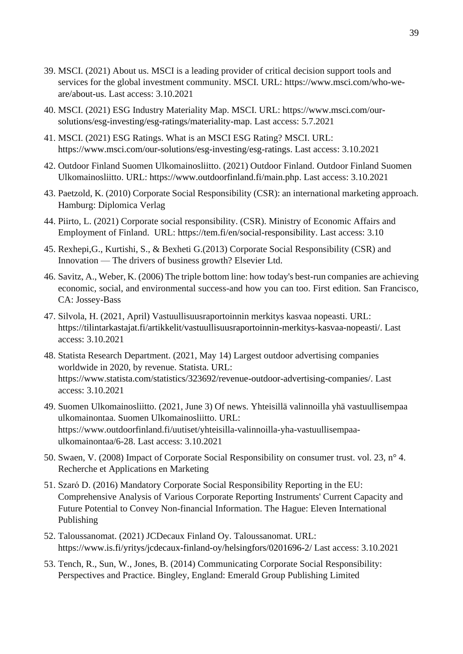- 39. MSCI. (2021) About us. MSCI is a leading provider of critical decision support tools and services for the global investment community. MSCI. URL: https://www.msci.com/who-weare/about-us. Last access: 3.10.2021
- 40. MSCI. (2021) ESG Industry Materiality Map. MSCI. URL: https://www.msci.com/oursolutions/esg-investing/esg-ratings/materiality-map. Last access: 5.7.2021
- 41. MSCI. (2021) ESG Ratings. What is an MSCI ESG Rating? MSCI. URL: https://www.msci.com/our-solutions/esg-investing/esg-ratings. Last access: 3.10.2021
- 42. Outdoor Finland Suomen Ulkomainosliitto. (2021) Outdoor Finland. Outdoor Finland Suomen Ulkomainosliitto. URL: https://www.outdoorfinland.fi/main.php. Last access: 3.10.2021
- 43. Paetzold, K. (2010) Corporate Social Responsibility (CSR): an international marketing approach. Hamburg: Diplomica Verlag
- 44. Piirto, L. (2021) Corporate social responsibility. (CSR). Ministry of Economic Affairs and Employment of Finland. URL: https://tem.fi/en/social-responsibility. Last access: 3.10
- 45. Rexhepi,G., Kurtishi, S., & Bexheti G.(2013) Corporate Social Responsibility (CSR) and Innovation — The drivers of business growth? Elsevier Ltd.
- 46. Savitz, A., Weber, K. (2006) The triple bottom line: how today's best-run companies are achieving economic, social, and environmental success-and how you can too. First edition. San Francisco, CA: Jossey-Bass
- 47. Silvola, H. (2021, April) Vastuullisuusraportoinnin merkitys kasvaa nopeasti. URL: https://tilintarkastajat.fi/artikkelit/vastuullisuusraportoinnin-merkitys-kasvaa-nopeasti/. Last access: 3.10.2021
- 48. Statista Research Department. (2021, May 14) Largest outdoor advertising companies worldwide in 2020, by revenue. Statista. URL: https://www.statista.com/statistics/323692/revenue-outdoor-advertising-companies/. Last access: 3.10.2021
- 49. Suomen Ulkomainosliitto. (2021, June 3) Of news. Yhteisillä valinnoilla yhä vastuullisempaa ulkomainontaa. Suomen Ulkomainosliitto. URL: https://www.outdoorfinland.fi/uutiset/yhteisilla-valinnoilla-yha-vastuullisempaaulkomainontaa/6-28. Last access: 3.10.2021
- 50. Swaen, V. (2008) Impact of Corporate Social Responsibility on consumer trust. vol. 23, n° 4. Recherche et Applications en Marketing
- 51. Szaró D. (2016) Mandatory Corporate Social Responsibility Reporting in the EU: Comprehensive Analysis of Various Corporate Reporting Instruments' Current Capacity and Future Potential to Convey Non-financial Information. The Hague: Eleven International Publishing
- 52. Taloussanomat. (2021) JCDecaux Finland Oy. Taloussanomat. URL: https://www.is.fi/yritys/jcdecaux-finland-oy/helsingfors/0201696-2/ Last access: 3.10.2021
- 53. Tench, R., Sun, W., Jones, B. (2014) Communicating Corporate Social Responsibility: Perspectives and Practice. Bingley, England: Emerald Group Publishing Limited